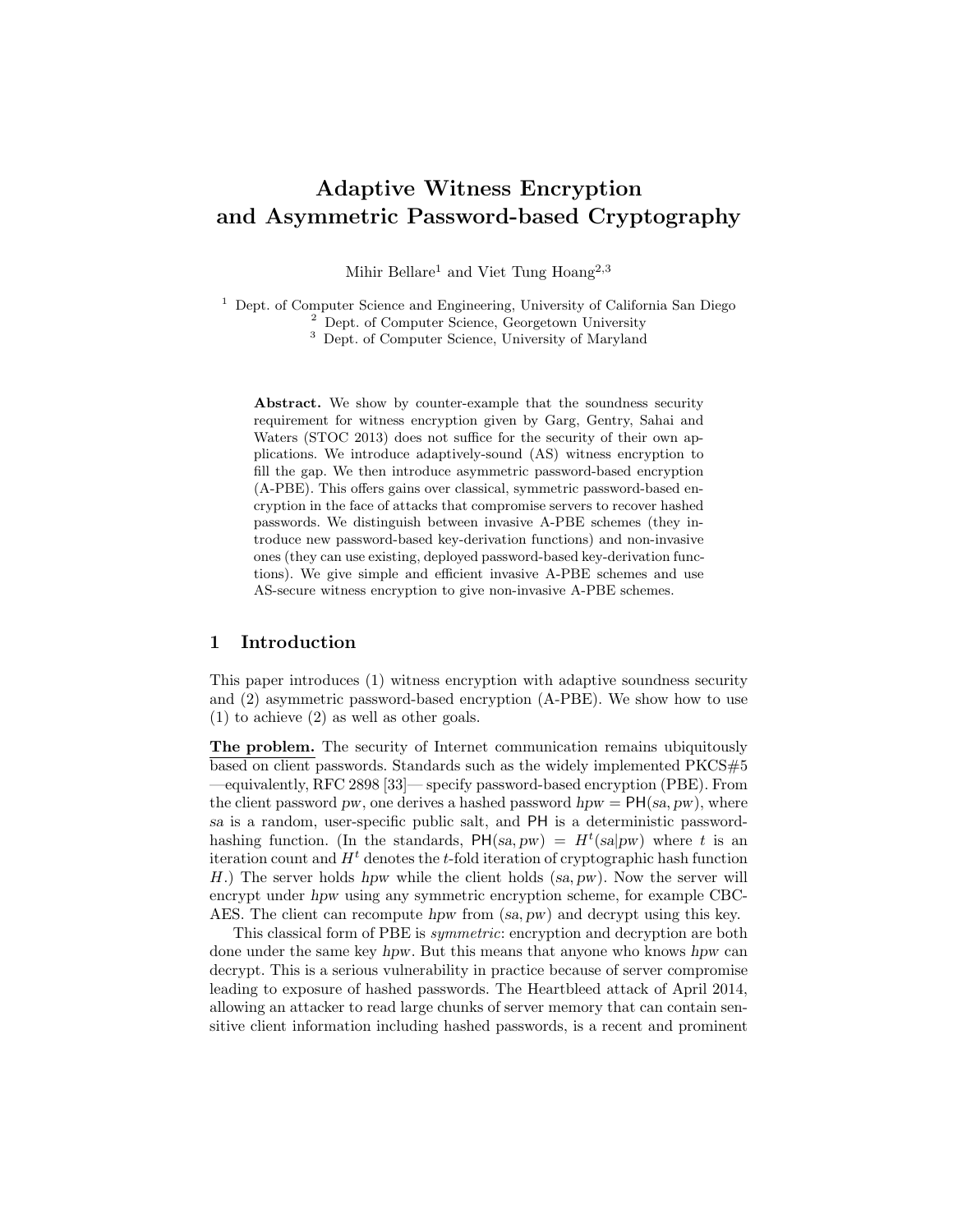# Adaptive Witness Encryption and Asymmetric Password-based Cryptography

Mihir Bellare<sup>1</sup> and Viet Tung  $\text{Hoang}^{2,3}$ 

<sup>1</sup> Dept. of Computer Science and Engineering, University of California San Diego

<sup>2</sup> Dept. of Computer Science, Georgetown University

<sup>3</sup> Dept. of Computer Science, University of Maryland

Abstract. We show by counter-example that the soundness security requirement for witness encryption given by Garg, Gentry, Sahai and Waters (STOC 2013) does not suffice for the security of their own applications. We introduce adaptively-sound (AS) witness encryption to fill the gap. We then introduce asymmetric password-based encryption (A-PBE). This offers gains over classical, symmetric password-based encryption in the face of attacks that compromise servers to recover hashed passwords. We distinguish between invasive A-PBE schemes (they introduce new password-based key-derivation functions) and non-invasive ones (they can use existing, deployed password-based key-derivation functions). We give simple and efficient invasive A-PBE schemes and use AS-secure witness encryption to give non-invasive A-PBE schemes.

## 1 Introduction

This paper introduces (1) witness encryption with adaptive soundness security and (2) asymmetric password-based encryption (A-PBE). We show how to use (1) to achieve (2) as well as other goals.

The problem. The security of Internet communication remains ubiquitously based on client passwords. Standards such as the widely implemented PKCS#5 —equivalently, RFC 2898 [33]— specify password-based encryption (PBE). From the client password pw, one derives a hashed password  $hpw = PH(sa, pw)$ , where sa is a random, user-specific public salt, and PH is a deterministic passwordhashing function. (In the standards,  $PH(sa, pw) = H<sup>t</sup>(sa|pw)$  where t is an iteration count and  $H<sup>t</sup>$  denotes the t-fold iteration of cryptographic hash function H.) The server holds hpw while the client holds  $(sa, pw)$ . Now the server will encrypt under hpw using any symmetric encryption scheme, for example CBC-AES. The client can recompute hpw from (sa, pw) and decrypt using this key.

This classical form of PBE is symmetric: encryption and decryption are both done under the same key hpw. But this means that anyone who knows hpw can decrypt. This is a serious vulnerability in practice because of server compromise leading to exposure of hashed passwords. The Heartbleed attack of April 2014, allowing an attacker to read large chunks of server memory that can contain sensitive client information including hashed passwords, is a recent and prominent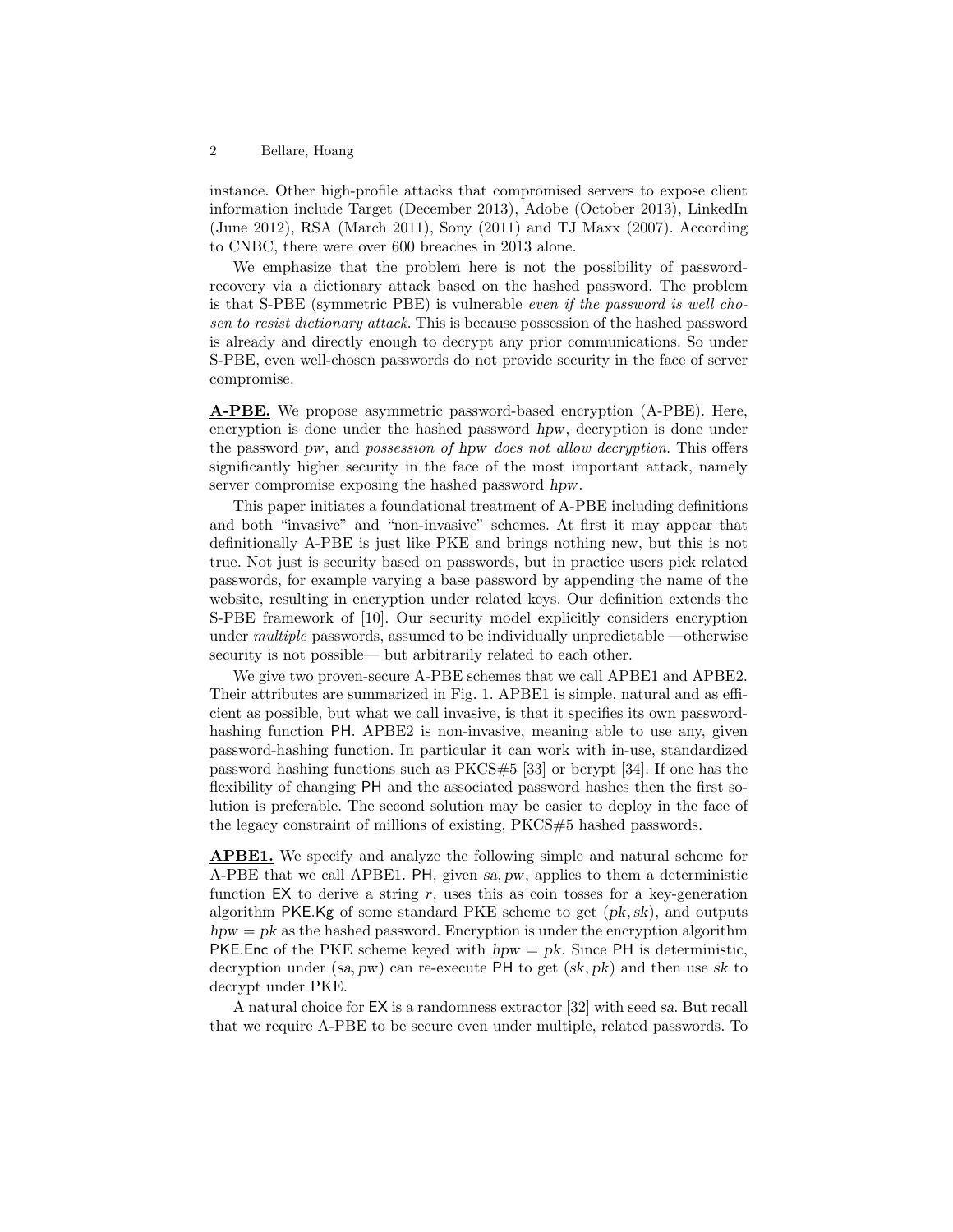instance. Other high-profile attacks that compromised servers to expose client information include Target (December 2013), Adobe (October 2013), LinkedIn (June 2012), RSA (March 2011), Sony (2011) and TJ Maxx (2007). According to CNBC, there were over 600 breaches in 2013 alone.

We emphasize that the problem here is not the possibility of passwordrecovery via a dictionary attack based on the hashed password. The problem is that S-PBE (symmetric PBE) is vulnerable even if the password is well chosen to resist dictionary attack. This is because possession of the hashed password is already and directly enough to decrypt any prior communications. So under S-PBE, even well-chosen passwords do not provide security in the face of server compromise.

A-PBE. We propose asymmetric password-based encryption (A-PBE). Here, encryption is done under the hashed password hpw, decryption is done under the password pw, and possession of hpw does not allow decryption. This offers significantly higher security in the face of the most important attack, namely server compromise exposing the hashed password hpw.

This paper initiates a foundational treatment of A-PBE including definitions and both "invasive" and "non-invasive" schemes. At first it may appear that definitionally A-PBE is just like PKE and brings nothing new, but this is not true. Not just is security based on passwords, but in practice users pick related passwords, for example varying a base password by appending the name of the website, resulting in encryption under related keys. Our definition extends the S-PBE framework of [10]. Our security model explicitly considers encryption under *multiple* passwords, assumed to be individually unpredictable —otherwise security is not possible— but arbitrarily related to each other.

We give two proven-secure A-PBE schemes that we call APBE1 and APBE2. Their attributes are summarized in Fig. 1. APBE1 is simple, natural and as efficient as possible, but what we call invasive, is that it specifies its own passwordhashing function PH. APBE2 is non-invasive, meaning able to use any, given password-hashing function. In particular it can work with in-use, standardized password hashing functions such as PKCS#5 [33] or bcrypt [34]. If one has the flexibility of changing PH and the associated password hashes then the first solution is preferable. The second solution may be easier to deploy in the face of the legacy constraint of millions of existing, PKCS#5 hashed passwords.

APBE1. We specify and analyze the following simple and natural scheme for A-PBE that we call APBE1. PH, given sa, pw, applies to them a deterministic function EX to derive a string r, uses this as coin tosses for a key-generation algorithm PKE.Kg of some standard PKE scheme to get  $(pk, sk)$ , and outputs  $hpw = pk$  as the hashed password. Encryption is under the encryption algorithm **PKE.Enc** of the PKE scheme keyed with  $hpw = pk$ . Since PH is deterministic, decryption under  $(sa, pw)$  can re-execute PH to get  $(sk, pk)$  and then use sk to decrypt under PKE.

A natural choice for EX is a randomness extractor [32] with seed sa. But recall that we require A-PBE to be secure even under multiple, related passwords. To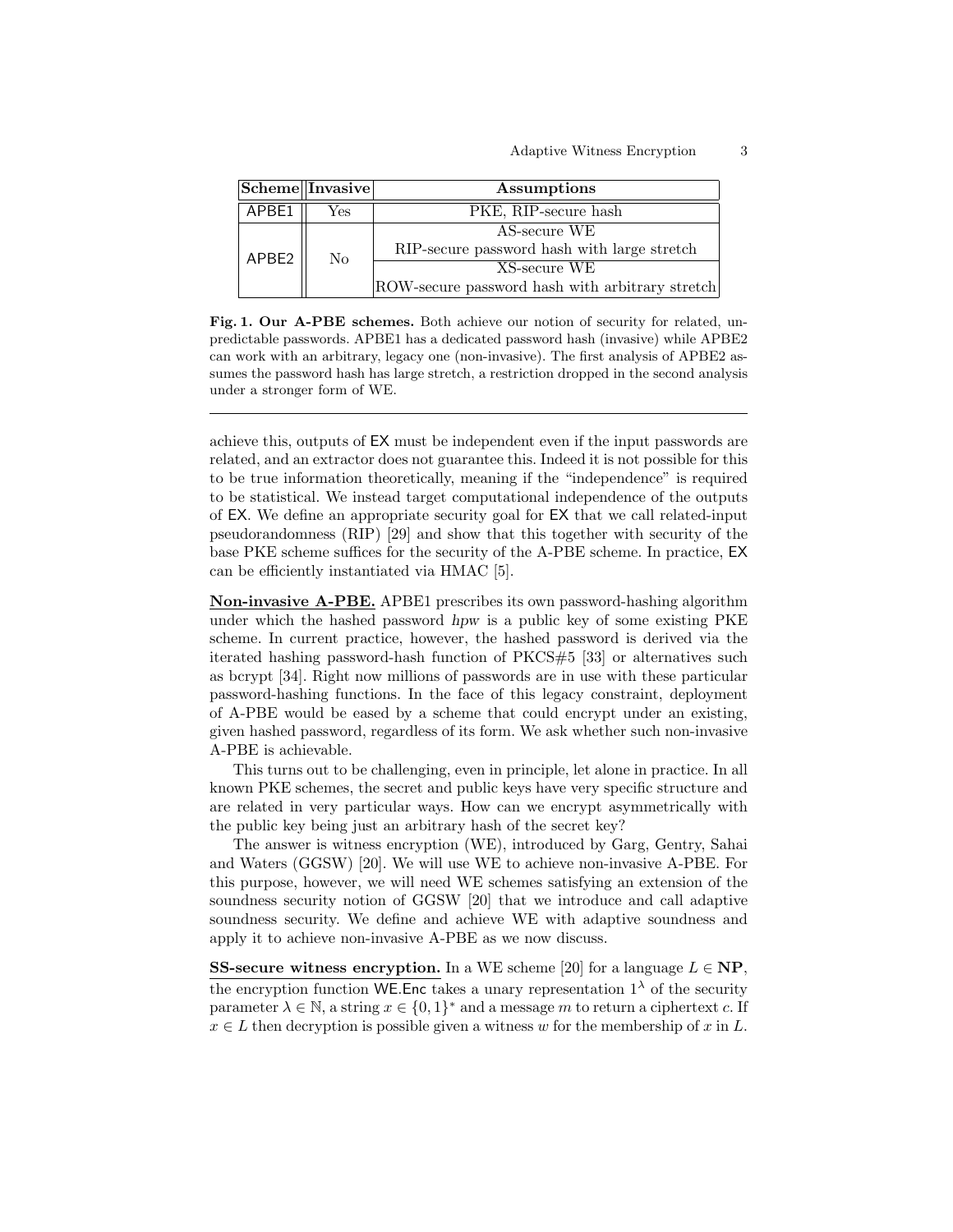|       | $ \text{Scheme}  \text{Invasive} $ | Assumptions                                     |
|-------|------------------------------------|-------------------------------------------------|
| APBE1 | Yes                                | PKE, RIP-secure hash                            |
| APBE2 | N <sub>o</sub>                     | AS-secure WE                                    |
|       |                                    | RIP-secure password hash with large stretch     |
|       |                                    | XS-secure WE                                    |
|       |                                    | ROW-secure password hash with arbitrary stretch |

Fig. 1. Our A-PBE schemes. Both achieve our notion of security for related, unpredictable passwords. APBE1 has a dedicated password hash (invasive) while APBE2 can work with an arbitrary, legacy one (non-invasive). The first analysis of APBE2 assumes the password hash has large stretch, a restriction dropped in the second analysis under a stronger form of WE.

achieve this, outputs of EX must be independent even if the input passwords are related, and an extractor does not guarantee this. Indeed it is not possible for this to be true information theoretically, meaning if the "independence" is required to be statistical. We instead target computational independence of the outputs of EX. We define an appropriate security goal for EX that we call related-input pseudorandomness (RIP) [29] and show that this together with security of the base PKE scheme suffices for the security of the A-PBE scheme. In practice, EX can be efficiently instantiated via HMAC [5].

Non-invasive A-PBE. APBE1 prescribes its own password-hashing algorithm under which the hashed password hpw is a public key of some existing PKE scheme. In current practice, however, the hashed password is derived via the iterated hashing password-hash function of PKCS#5 [33] or alternatives such as bcrypt [34]. Right now millions of passwords are in use with these particular password-hashing functions. In the face of this legacy constraint, deployment of A-PBE would be eased by a scheme that could encrypt under an existing, given hashed password, regardless of its form. We ask whether such non-invasive A-PBE is achievable.

This turns out to be challenging, even in principle, let alone in practice. In all known PKE schemes, the secret and public keys have very specific structure and are related in very particular ways. How can we encrypt asymmetrically with the public key being just an arbitrary hash of the secret key?

The answer is witness encryption (WE), introduced by Garg, Gentry, Sahai and Waters (GGSW) [20]. We will use WE to achieve non-invasive A-PBE. For this purpose, however, we will need WE schemes satisfying an extension of the soundness security notion of GGSW [20] that we introduce and call adaptive soundness security. We define and achieve WE with adaptive soundness and apply it to achieve non-invasive A-PBE as we now discuss.

SS-secure witness encryption. In a WE scheme [20] for a language  $L \in \mathbf{NP}$ , the encryption function WE. Enc takes a unary representation  $1^{\lambda}$  of the security parameter  $\lambda \in \mathbb{N}$ , a string  $x \in \{0,1\}^*$  and a message m to return a ciphertext c. If  $x \in L$  then decryption is possible given a witness w for the membership of x in L.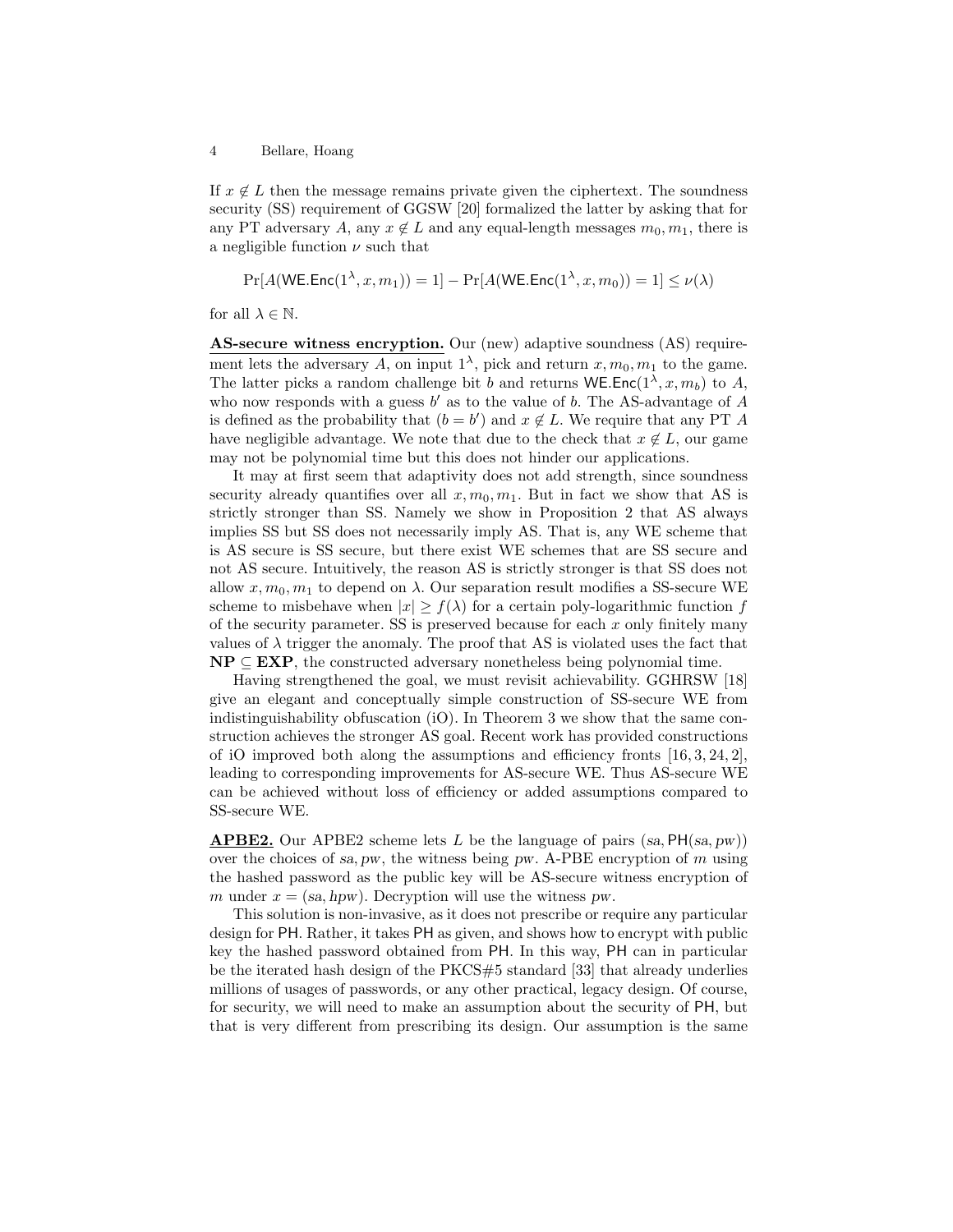If  $x \notin L$  then the message remains private given the ciphertext. The soundness security (SS) requirement of GGSW [20] formalized the latter by asking that for any PT adversary A, any  $x \notin L$  and any equal-length messages  $m_0, m_1$ , there is a negligible function  $\nu$  such that

$$
\Pr[A(\mathsf{WE}.{\sf Enc}(1^\lambda, x, m_1)) = 1] - \Pr[A(\mathsf{WE}.{\sf Enc}(1^\lambda, x, m_0)) = 1] \leq \nu(\lambda)
$$

for all  $\lambda \in \mathbb{N}$ .

AS-secure witness encryption. Our (new) adaptive soundness (AS) requirement lets the adversary A, on input  $1^{\lambda}$ , pick and return  $x, m_0, m_1$  to the game. The latter picks a random challenge bit b and returns  $\mathsf{WE}.\mathsf{Enc}(1^{\lambda}, x, m_b)$  to A, who now responds with a guess  $b'$  as to the value of  $b$ . The AS-advantage of  $A$ is defined as the probability that  $(b = b')$  and  $x \notin L$ . We require that any PT A have negligible advantage. We note that due to the check that  $x \notin L$ , our game may not be polynomial time but this does not hinder our applications.

It may at first seem that adaptivity does not add strength, since soundness security already quantifies over all  $x, m_0, m_1$ . But in fact we show that AS is strictly stronger than SS. Namely we show in Proposition 2 that AS always implies SS but SS does not necessarily imply AS. That is, any WE scheme that is AS secure is SS secure, but there exist WE schemes that are SS secure and not AS secure. Intuitively, the reason AS is strictly stronger is that SS does not allow  $x, m_0, m_1$  to depend on  $\lambda$ . Our separation result modifies a SS-secure WE scheme to misbehave when  $|x| \ge f(\lambda)$  for a certain poly-logarithmic function f of the security parameter. SS is preserved because for each  $x$  only finitely many values of  $\lambda$  trigger the anomaly. The proof that AS is violated uses the fact that  $NP \subseteq EXP$ , the constructed adversary nonetheless being polynomial time.

Having strengthened the goal, we must revisit achievability. GGHRSW [18] give an elegant and conceptually simple construction of SS-secure WE from indistinguishability obfuscation (iO). In Theorem 3 we show that the same construction achieves the stronger AS goal. Recent work has provided constructions of iO improved both along the assumptions and efficiency fronts  $[16, 3, 24, 2]$ . leading to corresponding improvements for AS-secure WE. Thus AS-secure WE can be achieved without loss of efficiency or added assumptions compared to SS-secure WE.

**APBE2.** Our APBE2 scheme lets L be the language of pairs  $(sa, PH(sa, pw))$ over the choices of sa, pw, the witness being pw. A-PBE encryption of  $m$  using the hashed password as the public key will be AS-secure witness encryption of m under  $x = (sa, hpw)$ . Decryption will use the witness pw.

This solution is non-invasive, as it does not prescribe or require any particular design for PH. Rather, it takes PH as given, and shows how to encrypt with public key the hashed password obtained from PH. In this way, PH can in particular be the iterated hash design of the PKCS#5 standard [33] that already underlies millions of usages of passwords, or any other practical, legacy design. Of course, for security, we will need to make an assumption about the security of PH, but that is very different from prescribing its design. Our assumption is the same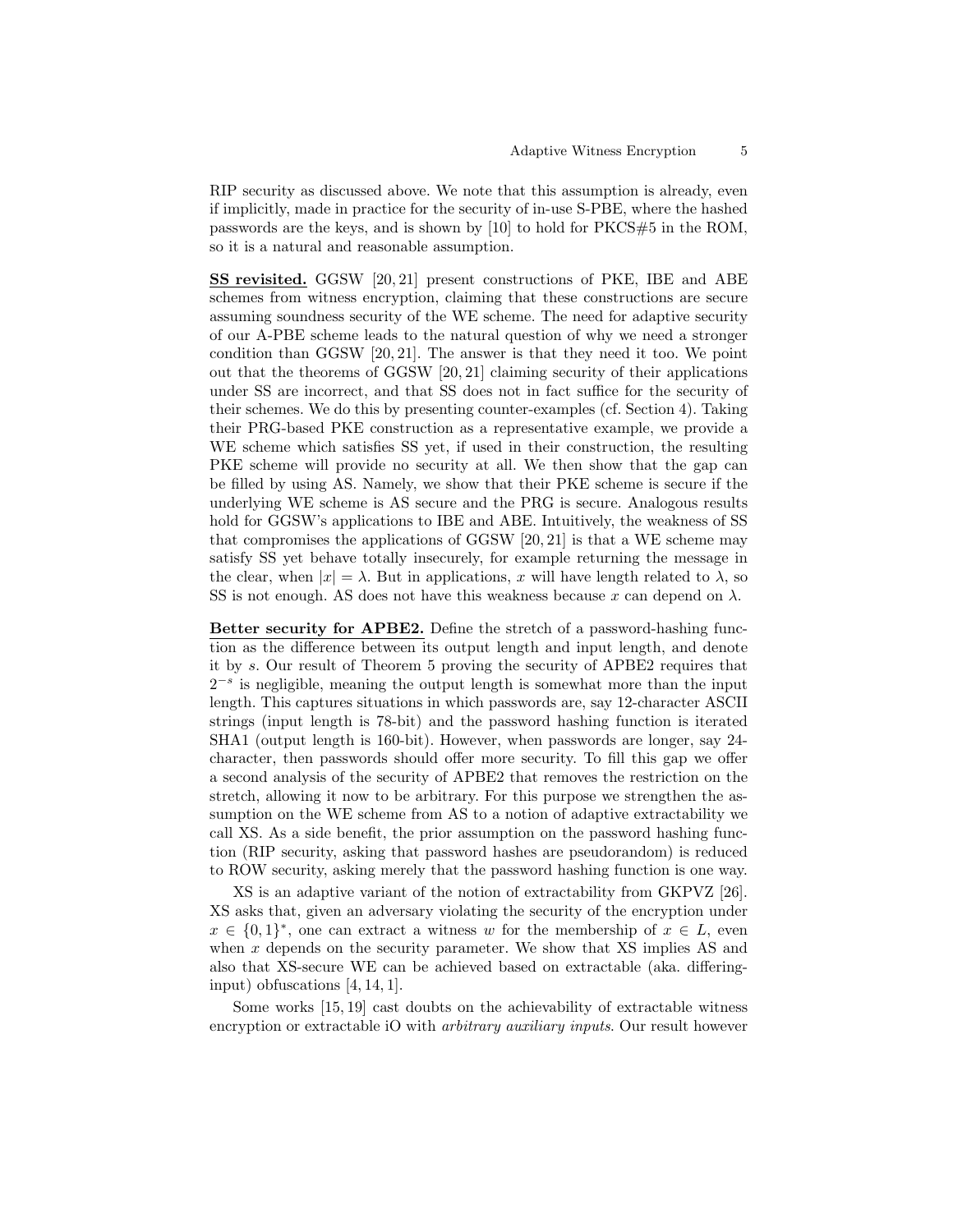RIP security as discussed above. We note that this assumption is already, even if implicitly, made in practice for the security of in-use S-PBE, where the hashed passwords are the keys, and is shown by [10] to hold for PKCS#5 in the ROM, so it is a natural and reasonable assumption.

SS revisited. GGSW [20, 21] present constructions of PKE, IBE and ABE schemes from witness encryption, claiming that these constructions are secure assuming soundness security of the WE scheme. The need for adaptive security of our A-PBE scheme leads to the natural question of why we need a stronger condition than GGSW [20, 21]. The answer is that they need it too. We point out that the theorems of GGSW [20, 21] claiming security of their applications under SS are incorrect, and that SS does not in fact suffice for the security of their schemes. We do this by presenting counter-examples (cf. Section 4). Taking their PRG-based PKE construction as a representative example, we provide a WE scheme which satisfies SS yet, if used in their construction, the resulting PKE scheme will provide no security at all. We then show that the gap can be filled by using AS. Namely, we show that their PKE scheme is secure if the underlying WE scheme is AS secure and the PRG is secure. Analogous results hold for GGSW's applications to IBE and ABE. Intuitively, the weakness of SS that compromises the applications of GGSW [20, 21] is that a WE scheme may satisfy SS yet behave totally insecurely, for example returning the message in the clear, when  $|x| = \lambda$ . But in applications, x will have length related to  $\lambda$ , so SS is not enough. AS does not have this weakness because x can depend on  $\lambda$ .

Better security for APBE2. Define the stretch of a password-hashing function as the difference between its output length and input length, and denote it by s. Our result of Theorem 5 proving the security of APBE2 requires that  $2^{-s}$  is negligible, meaning the output length is somewhat more than the input length. This captures situations in which passwords are, say 12-character ASCII strings (input length is 78-bit) and the password hashing function is iterated SHA1 (output length is 160-bit). However, when passwords are longer, say 24 character, then passwords should offer more security. To fill this gap we offer a second analysis of the security of APBE2 that removes the restriction on the stretch, allowing it now to be arbitrary. For this purpose we strengthen the assumption on the WE scheme from AS to a notion of adaptive extractability we call XS. As a side benefit, the prior assumption on the password hashing function (RIP security, asking that password hashes are pseudorandom) is reduced to ROW security, asking merely that the password hashing function is one way.

XS is an adaptive variant of the notion of extractability from GKPVZ [26]. XS asks that, given an adversary violating the security of the encryption under  $x \in \{0,1\}^*$ , one can extract a witness w for the membership of  $x \in L$ , even when  $x$  depends on the security parameter. We show that  $XS$  implies AS and also that XS-secure WE can be achieved based on extractable (aka. differinginput) obfuscations [4, 14, 1].

Some works [15, 19] cast doubts on the achievability of extractable witness encryption or extractable iO with *arbitrary auxiliary inputs*. Our result however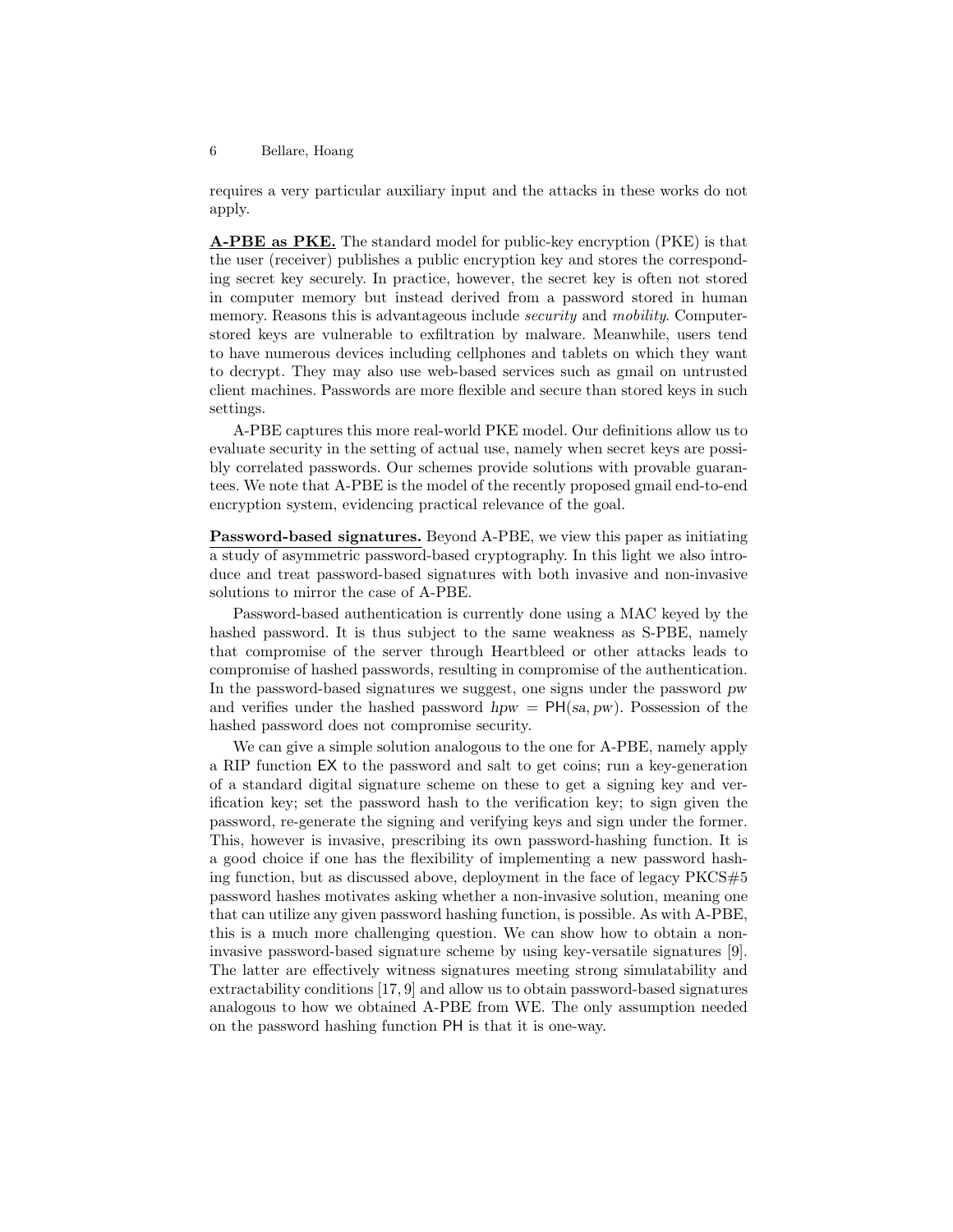requires a very particular auxiliary input and the attacks in these works do not apply.

A-PBE as PKE. The standard model for public-key encryption (PKE) is that the user (receiver) publishes a public encryption key and stores the corresponding secret key securely. In practice, however, the secret key is often not stored in computer memory but instead derived from a password stored in human memory. Reasons this is advantageous include *security* and *mobility*. Computerstored keys are vulnerable to exfiltration by malware. Meanwhile, users tend to have numerous devices including cellphones and tablets on which they want to decrypt. They may also use web-based services such as gmail on untrusted client machines. Passwords are more flexible and secure than stored keys in such settings.

A-PBE captures this more real-world PKE model. Our definitions allow us to evaluate security in the setting of actual use, namely when secret keys are possibly correlated passwords. Our schemes provide solutions with provable guarantees. We note that A-PBE is the model of the recently proposed gmail end-to-end encryption system, evidencing practical relevance of the goal.

Password-based signatures. Beyond A-PBE, we view this paper as initiating a study of asymmetric password-based cryptography. In this light we also introduce and treat password-based signatures with both invasive and non-invasive solutions to mirror the case of A-PBE.

Password-based authentication is currently done using a MAC keyed by the hashed password. It is thus subject to the same weakness as S-PBE, namely that compromise of the server through Heartbleed or other attacks leads to compromise of hashed passwords, resulting in compromise of the authentication. In the password-based signatures we suggest, one signs under the password pw and verifies under the hashed password  $hpw = PH(sa, pw)$ . Possession of the hashed password does not compromise security.

We can give a simple solution analogous to the one for A-PBE, namely apply a RIP function EX to the password and salt to get coins; run a key-generation of a standard digital signature scheme on these to get a signing key and verification key; set the password hash to the verification key; to sign given the password, re-generate the signing and verifying keys and sign under the former. This, however is invasive, prescribing its own password-hashing function. It is a good choice if one has the flexibility of implementing a new password hashing function, but as discussed above, deployment in the face of legacy PKCS#5 password hashes motivates asking whether a non-invasive solution, meaning one that can utilize any given password hashing function, is possible. As with A-PBE, this is a much more challenging question. We can show how to obtain a noninvasive password-based signature scheme by using key-versatile signatures [9]. The latter are effectively witness signatures meeting strong simulatability and extractability conditions [17, 9] and allow us to obtain password-based signatures analogous to how we obtained A-PBE from WE. The only assumption needed on the password hashing function PH is that it is one-way.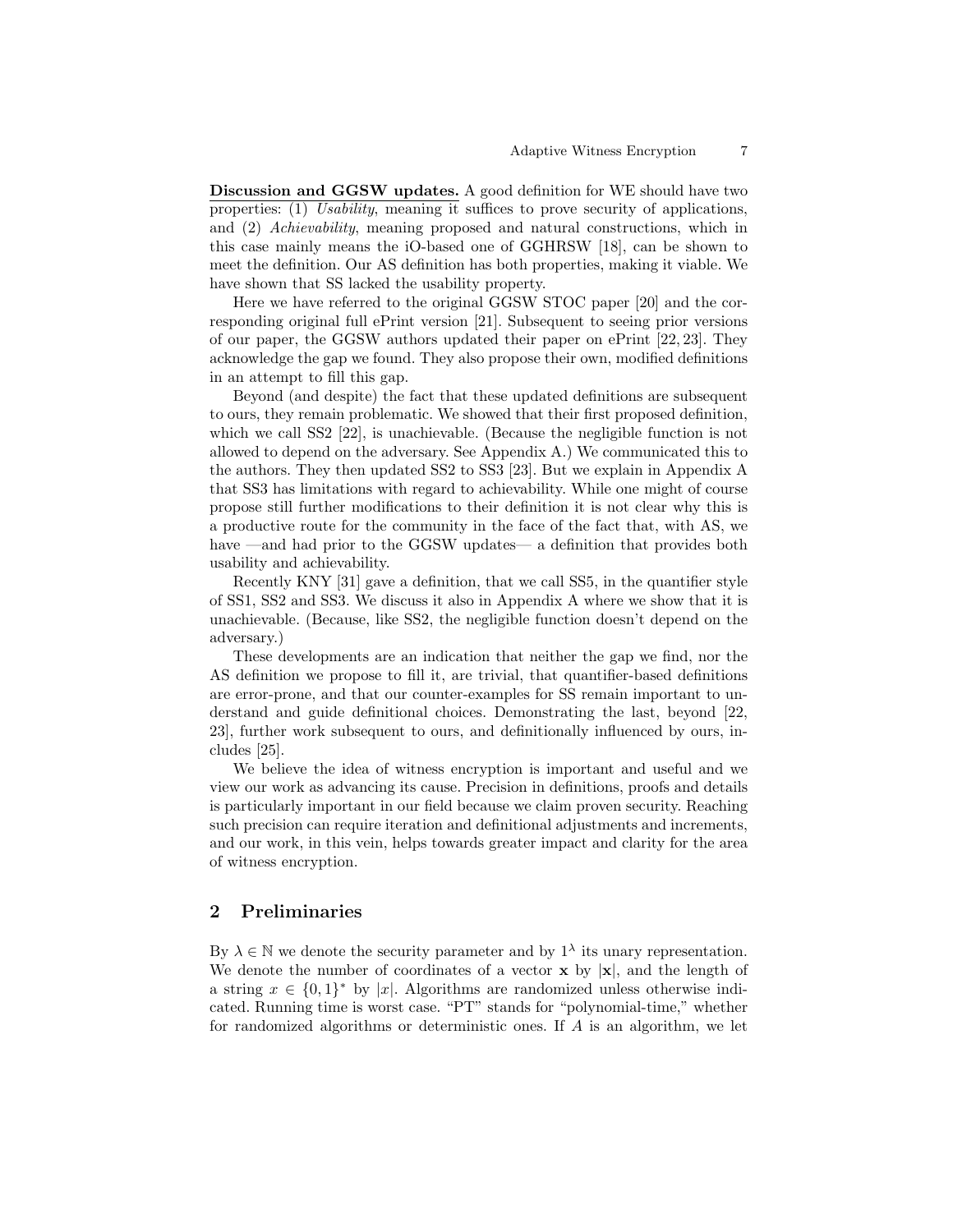Discussion and GGSW updates. A good definition for WE should have two properties: (1) Usability, meaning it suffices to prove security of applications, and (2) Achievability, meaning proposed and natural constructions, which in this case mainly means the iO-based one of GGHRSW [18], can be shown to meet the definition. Our AS definition has both properties, making it viable. We have shown that SS lacked the usability property.

Here we have referred to the original GGSW STOC paper [20] and the corresponding original full ePrint version [21]. Subsequent to seeing prior versions of our paper, the GGSW authors updated their paper on ePrint [22, 23]. They acknowledge the gap we found. They also propose their own, modified definitions in an attempt to fill this gap.

Beyond (and despite) the fact that these updated definitions are subsequent to ours, they remain problematic. We showed that their first proposed definition, which we call SS2 [22], is unachievable. (Because the negligible function is not allowed to depend on the adversary. See Appendix A.) We communicated this to the authors. They then updated SS2 to SS3 [23]. But we explain in Appendix A that SS3 has limitations with regard to achievability. While one might of course propose still further modifications to their definition it is not clear why this is a productive route for the community in the face of the fact that, with AS, we have —and had prior to the GGSW updates— a definition that provides both usability and achievability.

Recently KNY [31] gave a definition, that we call SS5, in the quantifier style of SS1, SS2 and SS3. We discuss it also in Appendix A where we show that it is unachievable. (Because, like SS2, the negligible function doesn't depend on the adversary.)

These developments are an indication that neither the gap we find, nor the AS definition we propose to fill it, are trivial, that quantifier-based definitions are error-prone, and that our counter-examples for SS remain important to understand and guide definitional choices. Demonstrating the last, beyond [22, 23], further work subsequent to ours, and definitionally influenced by ours, includes [25].

We believe the idea of witness encryption is important and useful and we view our work as advancing its cause. Precision in definitions, proofs and details is particularly important in our field because we claim proven security. Reaching such precision can require iteration and definitional adjustments and increments, and our work, in this vein, helps towards greater impact and clarity for the area of witness encryption.

## 2 Preliminaries

By  $\lambda \in \mathbb{N}$  we denote the security parameter and by  $1^{\lambda}$  its unary representation. We denote the number of coordinates of a vector  $x$  by  $|x|$ , and the length of a string  $x \in \{0,1\}^*$  by |x|. Algorithms are randomized unless otherwise indicated. Running time is worst case. "PT" stands for "polynomial-time," whether for randomized algorithms or deterministic ones. If A is an algorithm, we let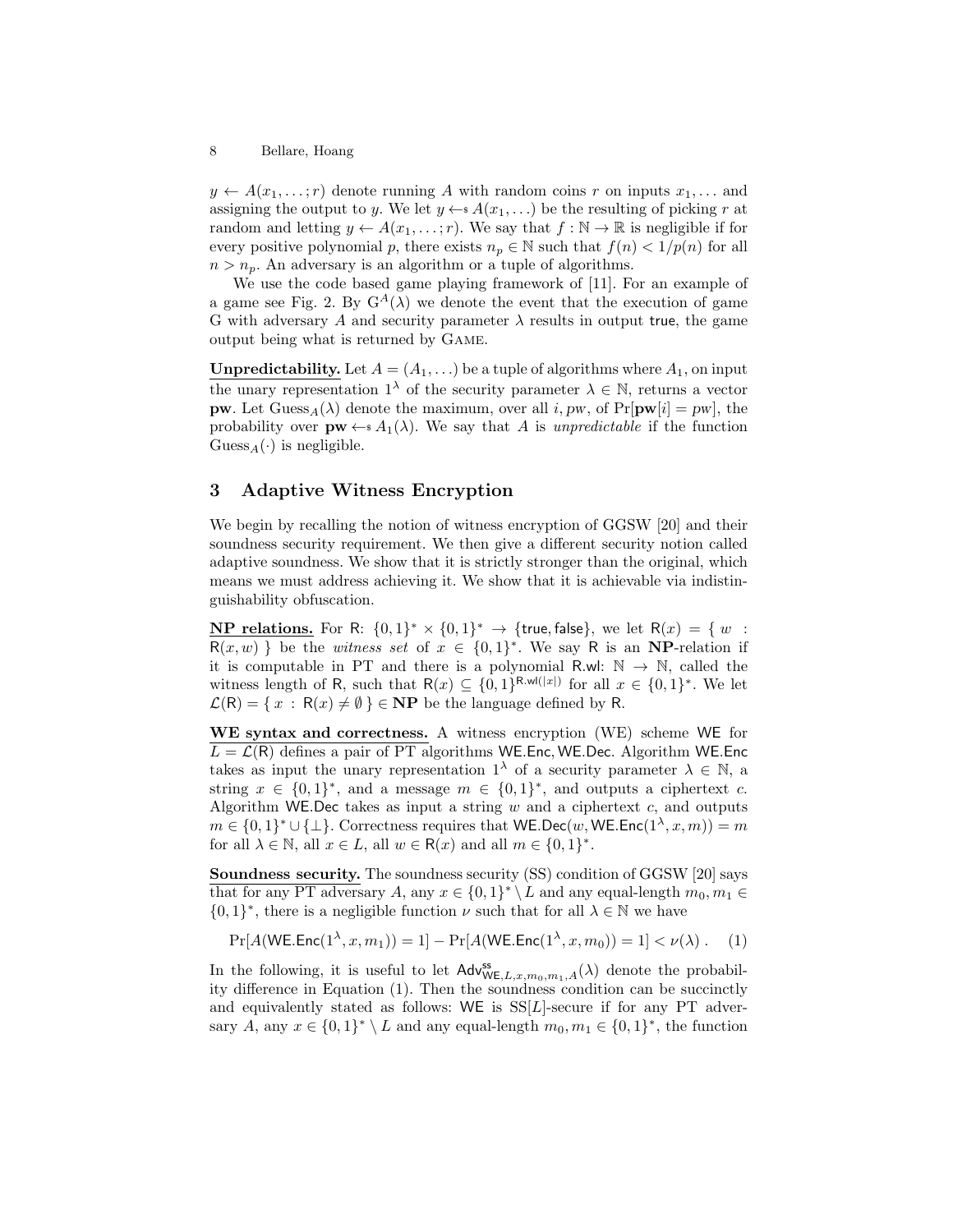$y \leftarrow A(x_1, \ldots; r)$  denote running A with random coins r on inputs  $x_1, \ldots$  and assigning the output to y. We let  $y \leftarrow A(x_1, ...)$  be the resulting of picking r at random and letting  $y \leftarrow A(x_1, \ldots; r)$ . We say that  $f : \mathbb{N} \to \mathbb{R}$  is negligible if for every positive polynomial p, there exists  $n_p \in \mathbb{N}$  such that  $f(n) < 1/p(n)$  for all  $n > n_p$ . An adversary is an algorithm or a tuple of algorithms.

We use the code based game playing framework of [11]. For an example of a game see Fig. 2. By  $G^{A}(\lambda)$  we denote the event that the execution of game G with adversary A and security parameter  $\lambda$  results in output true, the game output being what is returned by Game.

**Unpredictability.** Let  $A = (A_1, \ldots)$  be a tuple of algorithms where  $A_1$ , on input the unary representation  $1^{\lambda}$  of the security parameter  $\lambda \in \mathbb{N}$ , returns a vector **pw**. Let  $Guss_A(\lambda)$  denote the maximum, over all *i*, pw, of  $Pr[\mathbf{pw}[i] = pw]$ , the probability over  $\mathbf{pw} \leftarrow A_1(\lambda)$ . We say that A is unpredictable if the function  $Guess_A(\cdot)$  is negligible.

## 3 Adaptive Witness Encryption

We begin by recalling the notion of witness encryption of GGSW [20] and their soundness security requirement. We then give a different security notion called adaptive soundness. We show that it is strictly stronger than the original, which means we must address achieving it. We show that it is achievable via indistinguishability obfuscation.

**NP relations.** For R:  $\{0,1\}^* \times \{0,1\}^* \rightarrow \{\text{true},\text{false}\},\$ we let  $R(x) = \{w :$  $R(x, w)$  be the *witness set* of  $x \in \{0, 1\}^*$ . We say R is an **NP**-relation if it is computable in PT and there is a polynomial R.wl:  $\mathbb{N} \to \mathbb{N}$ , called the witness length of R, such that  $R(x) \subseteq \{0,1\}^{R \text{.} \text{wl}(|x|)}$  for all  $x \in \{0,1\}^*$ . We let  $\mathcal{L}(R) = \{ x : R(x) \neq \emptyset \} \in \mathbf{NP}$  be the language defined by R.

WE syntax and correctness. A witness encryption (WE) scheme WE for  $\mathcal{L} = \mathcal{L}(\mathsf{R})$  defines a pair of PT algorithms WE.Enc, WE.Dec. Algorithm WE.Enc takes as input the unary representation  $1^{\lambda}$  of a security parameter  $\lambda \in \mathbb{N}$ , a string  $x \in \{0,1\}^*$ , and a message  $m \in \{0,1\}^*$ , and outputs a ciphertext c. Algorithm WE.Dec takes as input a string  $w$  and a ciphertext  $c$ , and outputs  $m \in \{0,1\}^* \cup \{\perp\}.$  Correctness requires that  $\mathsf{WE}.Dec(w, \mathsf{WE}.Enc(1^\lambda, x, m)) = m$ for all  $\lambda \in \mathbb{N}$ , all  $x \in L$ , all  $w \in R(x)$  and all  $m \in \{0, 1\}^*$ .

Soundness security. The soundness security (SS) condition of GGSW [20] says that for any PT adversary A, any  $x \in \{0,1\}^* \setminus L$  and any equal-length  $m_0, m_1 \in$  $\{0,1\}^*$ , there is a negligible function  $\nu$  such that for all  $\lambda \in \mathbb{N}$  we have

 $Pr[A(\textsf{WE}.Enc(1^{\lambda}, x, m_1)) = 1] - Pr[A(\textsf{WE}.Enc(1^{\lambda}, x, m_0)) = 1] < \nu(\lambda)$ . (1)

In the following, it is useful to let  $\mathsf{Adv}_{\mathsf{WE},L,x,m_0,m_1,A}^{\mathsf{ss}}(\lambda)$  denote the probability difference in Equation (1). Then the soundness condition can be succinctly and equivalently stated as follows:  $WE$  is  $SS[L]$ -secure if for any PT adversary A, any  $x \in \{0,1\}^* \setminus L$  and any equal-length  $m_0, m_1 \in \{0,1\}^*$ , the function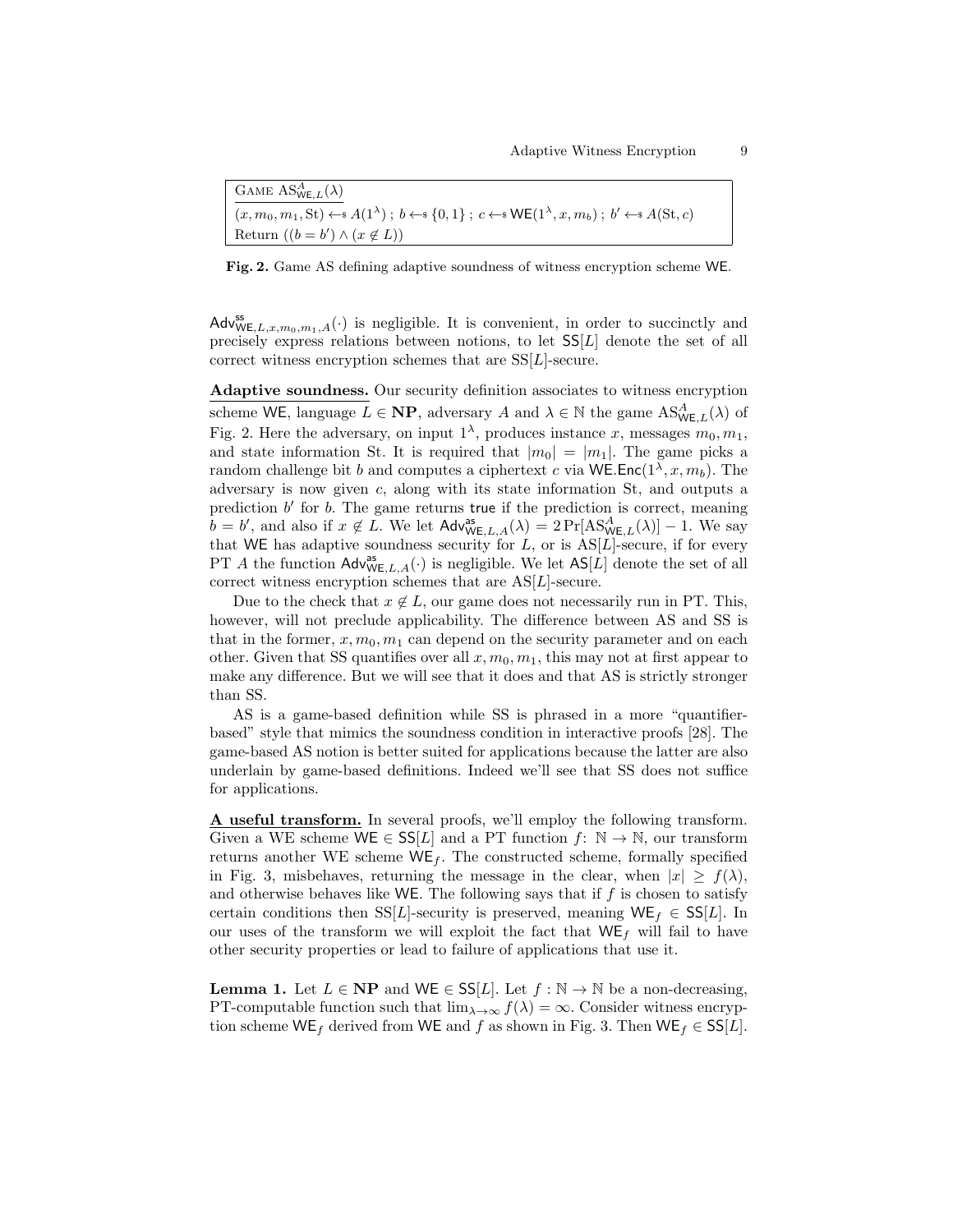| GAME $\mathrm{AS}_{\mathsf{WE},L}^A(\lambda)$                                                                                          |  |
|----------------------------------------------------------------------------------------------------------------------------------------|--|
| $(x, m_0, m_1, \text{St}) \leftarrow \{A(1^{\lambda}) : b \leftarrow \{0, 1\} : c \leftarrow \{0, 1\} : b' \leftarrow A(\text{St}, c)$ |  |
| Return $((b = b') \wedge (x \notin L))$                                                                                                |  |

Fig. 2. Game AS defining adaptive soundness of witness encryption scheme WE.

 $\mathsf{Adv}_{\mathsf{WE},L,x,m_0,m_1,A}^{\mathsf{ss}}(\cdot)$  is negligible. It is convenient, in order to succinctly and precisely express relations between notions, to let SS[L] denote the set of all correct witness encryption schemes that are SS[L]-secure.

Adaptive soundness. Our security definition associates to witness encryption scheme WE, language  $L \in \mathbf{NP}$ , adversary A and  $\lambda \in \mathbb{N}$  the game  $\mathrm{AS}_{\mathsf{WE},L}^A(\lambda)$  of Fig. 2. Here the adversary, on input  $1^{\lambda}$ , produces instance x, messages  $m_0, m_1$ , and state information St. It is required that  $|m_0| = |m_1|$ . The game picks a random challenge bit b and computes a ciphertext c via  $\mathsf{WE}.\mathsf{Enc}(1^\lambda, x, m_b)$ . The adversary is now given c, along with its state information St, and outputs a prediction  $b'$  for  $b$ . The game returns true if the prediction is correct, meaning  $b = b'$ , and also if  $x \notin L$ . We let  $\mathsf{Adv}_{\mathsf{WE},L,A}^{as}(\lambda) = 2 \Pr[\mathsf{AS}_{\mathsf{WE},L}^A(\lambda)] - 1$ . We say that WE has adaptive soundness security for  $L$ , or is  $AS[L]$ -secure, if for every PT A the function  $\mathsf{Adv}_{\mathsf{WE},L,A}^{\mathsf{as}}(\cdot)$  is negligible. We let  $\mathsf{AS}[L]$  denote the set of all correct witness encryption schemes that are AS[L]-secure.

Due to the check that  $x \notin L$ , our game does not necessarily run in PT. This, however, will not preclude applicability. The difference between AS and SS is that in the former,  $x, m_0, m_1$  can depend on the security parameter and on each other. Given that SS quantifies over all  $x, m_0, m_1$ , this may not at first appear to make any difference. But we will see that it does and that AS is strictly stronger than SS.

AS is a game-based definition while SS is phrased in a more "quantifierbased" style that mimics the soundness condition in interactive proofs [28]. The game-based AS notion is better suited for applications because the latter are also underlain by game-based definitions. Indeed we'll see that SS does not suffice for applications.

A useful transform. In several proofs, we'll employ the following transform. Given a WE scheme  $\mathsf{WE} \in \mathsf{SS}[L]$  and a PT function  $f: \mathbb{N} \to \mathbb{N}$ , our transform returns another WE scheme  $\mathsf{WE}_f$ . The constructed scheme, formally specified in Fig. 3, misbehaves, returning the message in the clear, when  $|x| > f(\lambda)$ , and otherwise behaves like WE. The following says that if  $f$  is chosen to satisfy certain conditions then SS[L]-security is preserved, meaning  $\mathsf{WE}_f \in \mathsf{SS}[L]$ . In our uses of the transform we will exploit the fact that  $\mathsf{WE}_f$  will fail to have other security properties or lead to failure of applications that use it.

**Lemma 1.** Let  $L \in \mathbb{NP}$  and  $\mathsf{WE} \in \mathsf{SS}[L]$ . Let  $f : \mathbb{N} \to \mathbb{N}$  be a non-decreasing, PT-computable function such that  $\lim_{\lambda \to \infty} f(\lambda) = \infty$ . Consider witness encryption scheme WE<sub>f</sub> derived from WE and f as shown in Fig. 3. Then WE<sub>f</sub>  $\in$  SS[L].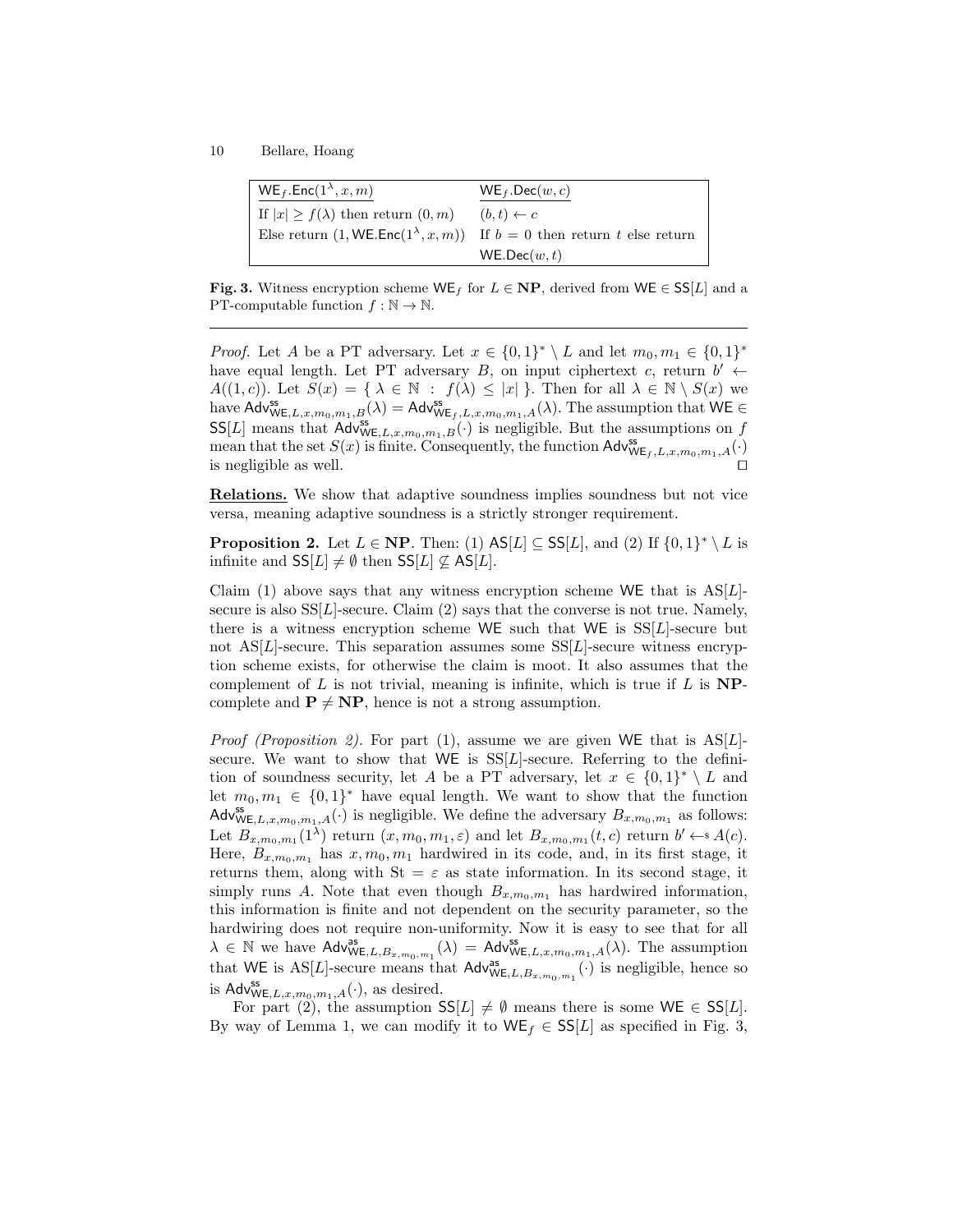| $WE_f$ . Enc $(1^{\lambda}, x, m)$         | $WE_f$ .Dec $(w, c)$                                                                                |
|--------------------------------------------|-----------------------------------------------------------------------------------------------------|
| If $ x  > f(\lambda)$ then return $(0, m)$ | $(b, t) \leftarrow c$                                                                               |
|                                            | Else return $(1, \mathsf{WE}.\mathsf{Enc}(1^{\lambda}, x, m))$ If $b = 0$ then return t else return |
|                                            | WE.Dec(w, t)                                                                                        |

Fig. 3. Witness encryption scheme  $\mathsf{WE}_f$  for  $L \in \mathbf{NP}$ , derived from  $\mathsf{WE} \in \mathsf{SS}[L]$  and a PT-computable function  $f : \mathbb{N} \to \mathbb{N}$ .

*Proof.* Let A be a PT adversary. Let  $x \in \{0,1\}^* \setminus L$  and let  $m_0, m_1 \in \{0,1\}^*$ have equal length. Let PT adversary B, on input ciphertext c, return  $b' \leftarrow$  $A((1, c))$ . Let  $S(x) = \{ \lambda \in \mathbb{N} : f(\lambda) \leq |x| \}$ . Then for all  $\lambda \in \mathbb{N} \setminus S(x)$  we have  $\mathsf{Adv}_{\mathsf{WE},L,x,m_0,m_1,B}^{\mathsf{ss}}(\lambda) = \mathsf{Adv}_{\mathsf{WE}_f,L,x,m_0,m_1,A}^{\mathsf{ss}}(\lambda)$ . The assumption that  $\mathsf{WE} \in$  $\mathsf{SS}[L]$  means that  $\mathsf{Adv}_{\mathsf{WE},L,x,m_0,m_1,B}^{\mathsf{ss}}(\cdot)$  is negligible. But the assumptions on f mean that the set  $S(x)$  is finite. Consequently, the function  $\mathsf{Adv}_{\mathsf{WE}_f, L,x,m_0,m_1,A}^{\mathsf{ss}}(\cdot)$ is negligible as well.  $\Box$ 

Relations. We show that adaptive soundness implies soundness but not vice versa, meaning adaptive soundness is a strictly stronger requirement.

**Proposition 2.** Let  $L \in \mathbf{NP}$ . Then: (1)  $\mathsf{AS}[L] \subseteq \mathsf{SS}[L]$ , and (2) If  $\{0,1\}^* \setminus L$  is infinite and  $SS[L] \neq \emptyset$  then  $SS[L] \not\subseteq AS[L]$ .

Claim (1) above says that any witness encryption scheme WE that is  $AS[L]$ secure is also  $SS[L]$ -secure. Claim (2) says that the converse is not true. Namely, there is a witness encryption scheme WE such that WE is  $SS[L]$ -secure but not  $AS[L]$ -secure. This separation assumes some  $SS[L]$ -secure witness encryption scheme exists, for otherwise the claim is moot. It also assumes that the complement of  $L$  is not trivial, meaning is infinite, which is true if  $L$  is  $NP$ complete and  $P \neq NP$ , hence is not a strong assumption.

*Proof (Proposition 2).* For part (1), assume we are given WE that is  $AS[L]$ secure. We want to show that  $WE$  is  $SS[L]$ -secure. Referring to the definition of soundness security, let A be a PT adversary, let  $x \in \{0,1\}^* \setminus L$  and let  $m_0, m_1 \in \{0, 1\}^*$  have equal length. We want to show that the function Adv $_{\text{WE},L,x,m_0,m_1,A}^{\text{ss}}(\cdot)$  is negligible. We define the adversary  $B_{x,m_0,m_1}$  as follows: Let  $B_{x,m_0,m_1}(1^{\lambda})$  return  $(x,m_0,m_1,\varepsilon)$  and let  $B_{x,m_0,m_1}(t,c)$  return  $b' \leftarrow s A(c)$ . Here,  $B_{x,m_0,m_1}$  has  $x, m_0, m_1$  hardwired in its code, and, in its first stage, it returns them, along with  $St = \varepsilon$  as state information. In its second stage, it simply runs A. Note that even though  $B_{x,m_0,m_1}$  has hardwired information, this information is finite and not dependent on the security parameter, so the hardwiring does not require non-uniformity. Now it is easy to see that for all  $\lambda \in \mathbb{N}$  we have  $\mathsf{Adv}_{\mathsf{WE},L,B_{x,m_0,m_1}}^{\mathsf{as}}(\lambda) = \mathsf{Adv}_{\mathsf{WE},L,x,m_0,m_1,A}^{\mathsf{ss}}(\lambda)$ . The assumption that WE is AS[L]-secure means that  $\mathsf{Adv}_{\mathsf{WE},L,B_{x,m_0,m_1}}^{\mathsf{as}}(\cdot)$  is negligible, hence so is  $\mathsf{Adv}_{\mathsf{WE},L,x,m_0,m_1,A}^{\mathsf{ss}}(\cdot)$ , as desired.

For part (2), the assumption  $\mathsf{SS}[L] \neq \emptyset$  means there is some WE  $\in \mathsf{SS}[L]$ . By way of Lemma 1, we can modify it to  $\mathsf{WE}_f \in \mathsf{SS}[L]$  as specified in Fig. 3,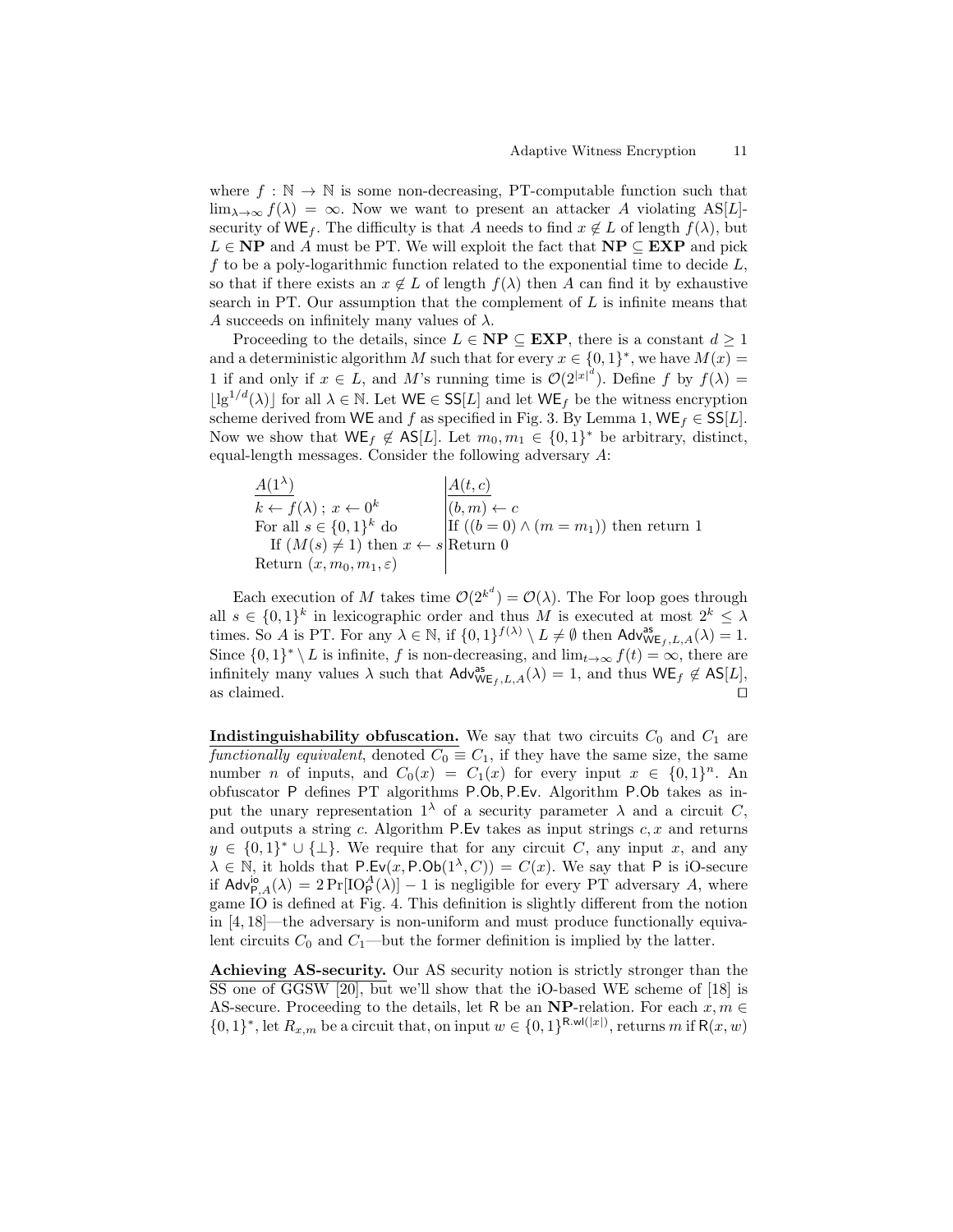where  $f : \mathbb{N} \to \mathbb{N}$  is some non-decreasing, PT-computable function such that  $\lim_{\lambda\to\infty} f(\lambda) = \infty$ . Now we want to present an attacker A violating AS[L]security of WE<sub>f</sub>. The difficulty is that A needs to find  $x \notin L$  of length  $f(\lambda)$ , but  $L \in \mathbf{NP}$  and A must be PT. We will exploit the fact that  $\mathbf{NP} \subseteq \mathbf{EXP}$  and pick f to be a poly-logarithmic function related to the exponential time to decide  $L$ , so that if there exists an  $x \notin L$  of length  $f(\lambda)$  then A can find it by exhaustive search in PT. Our assumption that the complement of  $L$  is infinite means that A succeeds on infinitely many values of  $\lambda$ .

Proceeding to the details, since  $L \in \mathbf{NP} \subseteq \mathbf{EXP}$ , there is a constant  $d \geq 1$ and a deterministic algorithm M such that for every  $x \in \{0,1\}^*$ , we have  $M(x) =$ 1 if and only if  $x \in L$ , and M's running time is  $\mathcal{O}(2^{|x|^d})$ . Define f by  $f(\lambda) =$  $|\lg^{1/d}(\lambda)|$  for all  $\lambda \in \mathbb{N}$ . Let WE  $\in$  SS[L] and let WE<sub>f</sub> be the witness encryption scheme derived from WE and f as specified in Fig. 3. By Lemma 1,  $\mathsf{WE}_f \in \mathsf{SS}[L]$ . Now we show that  $\mathsf{WE}_f \notin \mathsf{AS}[L]$ . Let  $m_0, m_1 \in \{0,1\}^*$  be arbitrary, distinct, equal-length messages. Consider the following adversary A:

$$
\frac{A(1^{\lambda})}{k \leftarrow f(\lambda); x \leftarrow 0^k}
$$
  
For all  $s \in \{0, 1\}^k$  do  
If  $(M(s) \neq 1)$  then  $x \leftarrow s$   
Return  $(x, m_0, m_1, \varepsilon)$   
return  $(0, m_1, \varepsilon)$ 

Each execution of M takes time  $\mathcal{O}(2^{k^d}) = \mathcal{O}(\lambda)$ . The For loop goes through all  $s \in \{0,1\}^k$  in lexicographic order and thus M is executed at most  $2^k \leq \lambda$ times. So A is PT. For any  $\lambda \in \mathbb{N}$ , if  $\{0,1\}^{f(\lambda)} \setminus L \neq \emptyset$  then  $\mathsf{Adv}_{\mathsf{WE}_f, L, A}^{\mathsf{as}}(\lambda) = 1$ . Since  $\{0,1\}^* \setminus L$  is infinite, f is non-decreasing, and  $\lim_{t\to\infty} f(t) = \infty$ , there are infinitely many values  $\lambda$  such that  $\mathsf{Adv}_{\mathsf{WE}_f, L, A}^{as}(\lambda) = 1$ , and thus  $\mathsf{WE}_f \notin \mathsf{AS}[L],$ as claimed.  $\hfill \square$ 

Indistinguishability obfuscation. We say that two circuits  $C_0$  and  $C_1$  are functionally equivalent, denoted  $C_0 \equiv C_1$ , if they have the same size, the same number *n* of inputs, and  $C_0(x) = C_1(x)$  for every input  $x \in \{0,1\}^n$ . An obfuscator P defines PT algorithms P.Ob, P.Ev. Algorithm P.Ob takes as input the unary representation  $1^{\lambda}$  of a security parameter  $\lambda$  and a circuit C, and outputs a string c. Algorithm P.Ev takes as input strings  $c, x$  and returns  $y \in \{0,1\}^* \cup \{\perp\}.$  We require that for any circuit C, any input x, and any  $\lambda \in \mathbb{N}$ , it holds that P.Ev(x, P.Ob(1<sup> $\lambda$ </sup>, C)) = C(x). We say that P is iO-secure if  $\text{Adv}_{P,A}^{io}(\lambda) = 2 \Pr[\text{IO}_P^A(\lambda)] - 1$  is negligible for every PT adversary A, where game IO is defined at Fig. 4. This definition is slightly different from the notion in [4, 18]—the adversary is non-uniform and must produce functionally equivalent circuits  $C_0$  and  $C_1$ —but the former definition is implied by the latter.

Achieving AS-security. Our AS security notion is strictly stronger than the SS one of GGSW [20], but we'll show that the iO-based WE scheme of [18] is AS-secure. Proceeding to the details, let R be an **NP**-relation. For each  $x, m \in$  $\{0,1\}^*$ , let  $R_{x,m}$  be a circuit that, on input  $w \in \{0,1\}^{\mathsf{R} \cdot \mathsf{w}(\vert x \vert)}$ , returns m if  $\mathsf{R}(x,w)$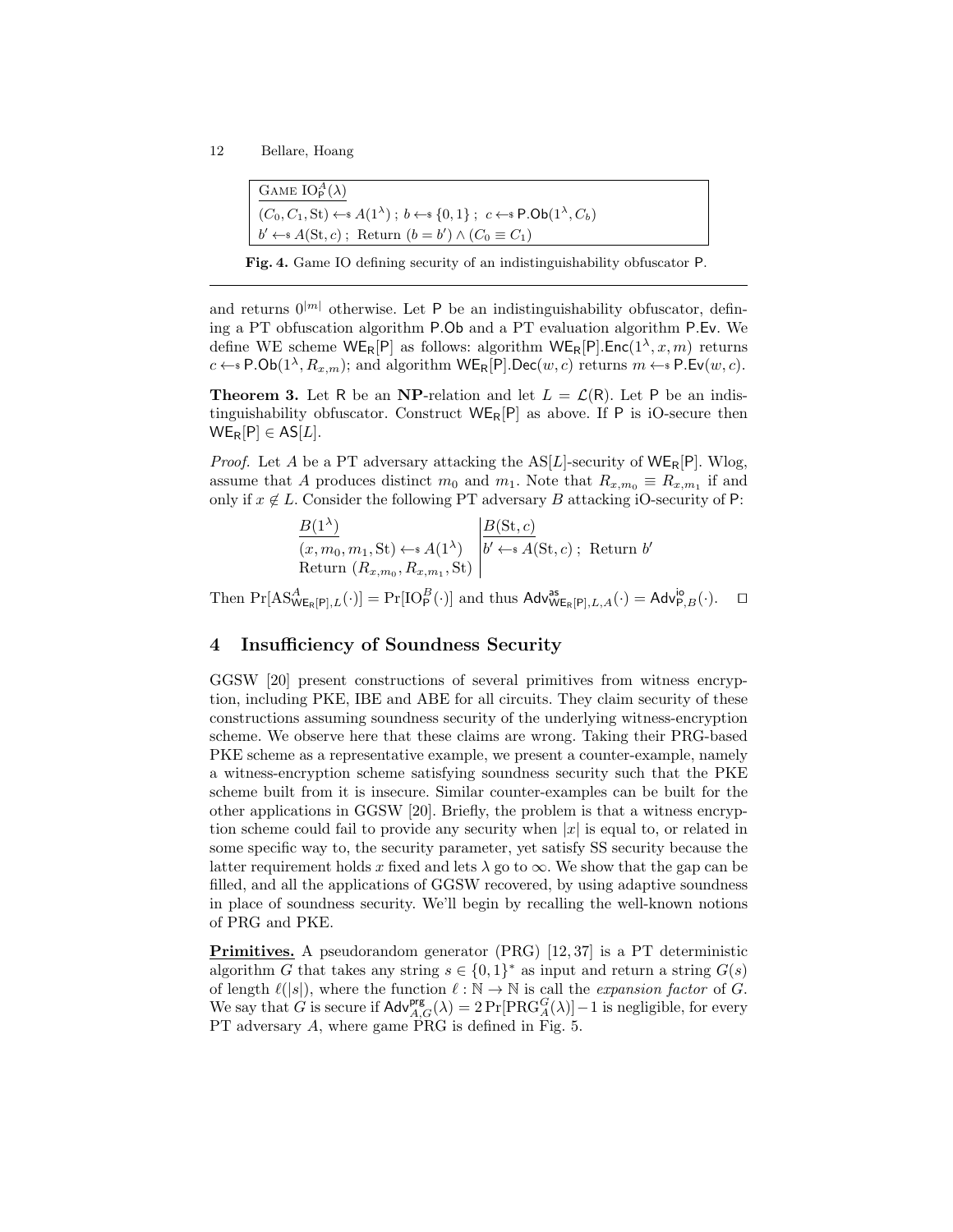| GAME $IO_{\mathsf{P}}^{A}(\lambda)$                                                                 |  |
|-----------------------------------------------------------------------------------------------------|--|
| $(C_0, C_1, \text{St}) \leftarrow \{A(1^{\lambda}) : b \leftarrow \{0, 1\} : c \leftarrow \{0, 1\}$ |  |
| $b' \leftarrow A(\text{St}, c)$ ; Return $(b = b') \wedge (C_0 \equiv C_1)$                         |  |

Fig. 4. Game IO defining security of an indistinguishability obfuscator P.

and returns  $0^{|m|}$  otherwise. Let P be an indistinguishability obfuscator, defining a PT obfuscation algorithm P.Ob and a PT evaluation algorithm P.Ev. We define WE scheme  $\mathsf{WE}_{\mathsf{R}}[P]$  as follows: algorithm  $\mathsf{WE}_{\mathsf{R}}[P]$ . Enc $(1^{\lambda}, x, m)$  returns  $c \leftarrow s \text{P.Ob}(1^{\lambda}, R_{x,m})$ ; and algorithm  $\text{WE}_{\text{R}}[\text{P}].\text{Dec}(w, c)$  returns  $m \leftarrow s \text{P.Ev}(w, c)$ .

**Theorem 3.** Let R be an **NP**-relation and let  $L = \mathcal{L}(R)$ . Let P be an indistinguishability obfuscator. Construct  $W \mathsf{E}_R[P]$  as above. If P is iO-secure then  $WE_R[P] \in AS[L].$ 

*Proof.* Let A be a PT adversary attacking the  $AS[L]$ -security of  $WE_R[P]$ . Wlog, assume that A produces distinct  $m_0$  and  $m_1$ . Note that  $R_{x,m_0} \equiv R_{x,m_1}$  if and only if  $x \notin L$ . Consider the following PT adversary B attacking iO-security of P:

$$
\frac{B(1^{\lambda})}{(x, m_0, m_1, St) \leftarrow A(1^{\lambda})} \begin{vmatrix} B(St, c) \\ b' \leftarrow A(St, c) \end{vmatrix}; \text{ Return } b'
$$
  
Return  $(R_{x, m_0}, R_{x, m_1}, St)$ 

Then  $Pr[\text{AS}_{\text{WE}_R[P],L}^A(\cdot)] = Pr[\text{IO}_P^B(\cdot)]$  and thus  $\text{Adv}_{\text{WE}_R[P],L,A}^{as}(\cdot) = \text{Adv}_{P,B}^{io}(\cdot)$ .  $\Box$ 

# 4 Insufficiency of Soundness Security

GGSW [20] present constructions of several primitives from witness encryption, including PKE, IBE and ABE for all circuits. They claim security of these constructions assuming soundness security of the underlying witness-encryption scheme. We observe here that these claims are wrong. Taking their PRG-based PKE scheme as a representative example, we present a counter-example, namely a witness-encryption scheme satisfying soundness security such that the PKE scheme built from it is insecure. Similar counter-examples can be built for the other applications in GGSW [20]. Briefly, the problem is that a witness encryption scheme could fail to provide any security when  $|x|$  is equal to, or related in some specific way to, the security parameter, yet satisfy SS security because the latter requirement holds x fixed and lets  $\lambda$  go to  $\infty$ . We show that the gap can be filled, and all the applications of GGSW recovered, by using adaptive soundness in place of soundness security. We'll begin by recalling the well-known notions of PRG and PKE.

Primitives. A pseudorandom generator (PRG) [12, 37] is a PT deterministic algorithm G that takes any string  $s \in \{0,1\}^*$  as input and return a string  $G(s)$ of length  $\ell(|s|)$ , where the function  $\ell : \mathbb{N} \to \mathbb{N}$  is call the expansion factor of G. We say that G is secure if  $\text{Adv}_{A,G}^{\text{prg}}(\lambda) = 2 \Pr[\text{PRG}_{A}^{G}(\lambda)] - 1$  is negligible, for every PT adversary A, where game PRG is defined in Fig. 5.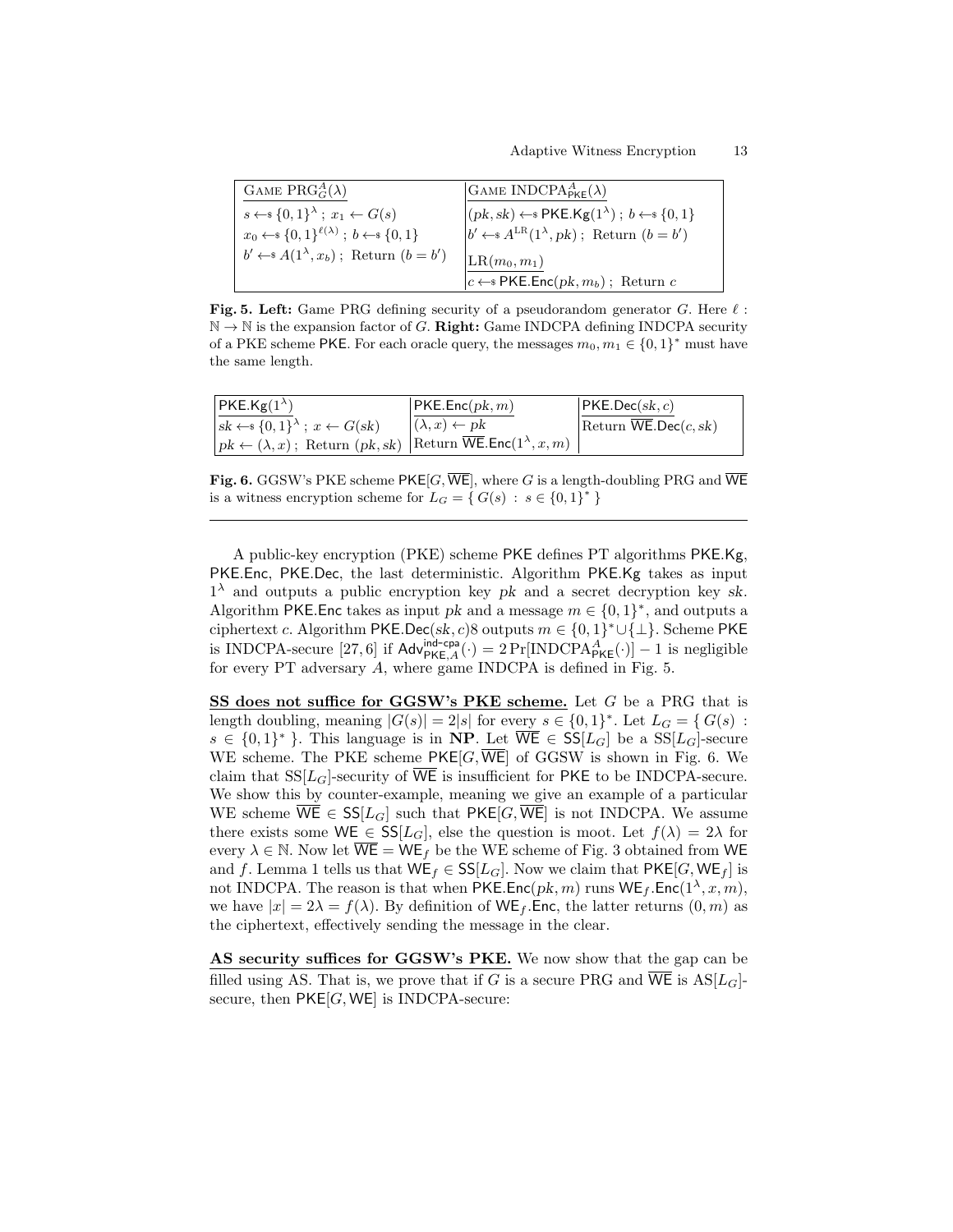| GAME $PRG_G^A(\lambda)$                                           | GAME INDCPA $A_{\text{PKF}}^{A}(\lambda)$                                              |
|-------------------------------------------------------------------|----------------------------------------------------------------------------------------|
| $s \leftarrow s \{0,1\}^{\lambda}$ ; $x_1 \leftarrow G(s)$        | $ (pk, sk) \leftarrow \{ \mathsf{PKE.Kg}(1^{\lambda}) \; ; \; b \leftarrow \{ 0, 1 \}$ |
| $x_0 \leftarrow \{0,1\}^{\ell(\lambda)}$ ; $b \leftarrow \{0,1\}$ | $b' \leftarrow A^{LR}(1^{\lambda}, pk)$ ; Return $(b = b')$                            |
| $b' \leftarrow A(1^{\lambda}, x_b)$ ; Return $(b = b')$           | $ LR(m_0,m_1) $                                                                        |
|                                                                   | $ c \leftarrow s$ PKE.Enc $(pk, m_b)$ ; Return c                                       |

Fig. 5. Left: Game PRG defining security of a pseudorandom generator  $G$ . Here  $\ell$ :  $\mathbb{N} \to \mathbb{N}$  is the expansion factor of G. Right: Game INDCPA defining INDCPA security of a PKE scheme PKE. For each oracle query, the messages  $m_0, m_1 \in \{0, 1\}^*$  must have the same length.

| $PKE.Kg(1^{\lambda})$                                                                                       | $ $ PKE. Enc $(pk, m)$         | $\mathsf{PKE}$ .Dec $(\mathsf{sk}, \mathsf{c})$ |
|-------------------------------------------------------------------------------------------------------------|--------------------------------|-------------------------------------------------|
| $ sk \leftarrow \{0,1\}^{\lambda}; x \leftarrow G(sk)$                                                      | $((\lambda, x) \leftarrow pk)$ | Return WE.Dec $(c, sk)$                         |
| $ pk \leftarrow (\lambda, x)$ ; Return $(pk, sk)$ Return $\overline{\text{WE}}$ . Enc $(1^{\lambda}, x, m)$ |                                |                                                 |

Fig. 6. GGSW's PKE scheme PKE[G,  $\overline{\text{WE}}$ ], where G is a length-doubling PRG and  $\overline{\text{WE}}$ is a witness encryption scheme for  $L_G = \{ G(s) : s \in \{0,1\}^* \}$ 

A public-key encryption (PKE) scheme PKE defines PT algorithms PKE.Kg, PKE.Enc, PKE.Dec, the last deterministic. Algorithm PKE.Kg takes as input  $1^{\lambda}$  and outputs a public encryption key pk and a secret decryption key sk. Algorithm PKE. Enctakes as input pk and a message  $m \in \{0,1\}^*$ , and outputs a ciphertext c. Algorithm PKE.Dec(sk, c)8 outputs  $m \in \{0,1\}^* \cup \{\perp\}$ . Scheme PKE is INDCPA-secure [27, 6] if  $\text{Adv}_{\text{PKE},A}^{\text{ind-cpa}}(\cdot) = 2 \Pr[\text{INDCPA}_{\text{PKE}}^{A}(\cdot)] - 1$  is negligible for every PT adversary A, where game INDCPA is defined in Fig. 5.

SS does not suffice for GGSW's PKE scheme. Let G be a PRG that is length doubling, meaning  $|G(s)| = 2|s|$  for every  $s \in \{0,1\}^*$ . Let  $L_G = \{G(s)$ :  $s \in \{0,1\}^*$ . This language is in **NP**. Let  $\overline{\mathsf{WE}} \in \mathsf{SS}[L_G]$  be a  $\mathsf{SS}[L_G]$ -secure WE scheme. The PKE scheme  $PKE[G, WE]$  of GGSW is shown in Fig. 6. We claim that  $SS[L_G]$ -security of WE is insufficient for PKE to be INDCPA-secure. We show this by counter-example, meaning we give an example of a particular WE scheme  $\overline{WE} \in \mathsf{SS}[L_G]$  such that  $\mathsf{PKE}[G, \overline{WE}]$  is not INDCPA. We assume there exists some WE  $\in$  SS[ $L_G$ ], else the question is moot. Let  $f(\lambda) = 2\lambda$  for every  $\lambda \in \mathbb{N}$ . Now let  $\overline{\text{WE}} = \text{WE}_f$  be the WE scheme of Fig. 3 obtained from WE and f. Lemma 1 tells us that  $\mathsf{WE}_f \in \mathsf{SS}[L_G]$ . Now we claim that  $\mathsf{PKE}[G, \mathsf{WE}_f]$  is not INDCPA. The reason is that when PKE.Enc $(pk, m)$  runs  $\mathsf{WE}_f$ .Enc $(1^\lambda, x, m)$ , we have  $|x| = 2\lambda = f(\lambda)$ . By definition of  $\mathsf{WE}_f$ . Enc, the latter returns  $(0, m)$  as the ciphertext, effectively sending the message in the clear.

AS security suffices for GGSW's PKE. We now show that the gap can be filled using AS. That is, we prove that if G is a secure PRG and  $\overline{WE}$  is  $AS[L_G]$ secure, then  $PKE[G, WE]$  is INDCPA-secure: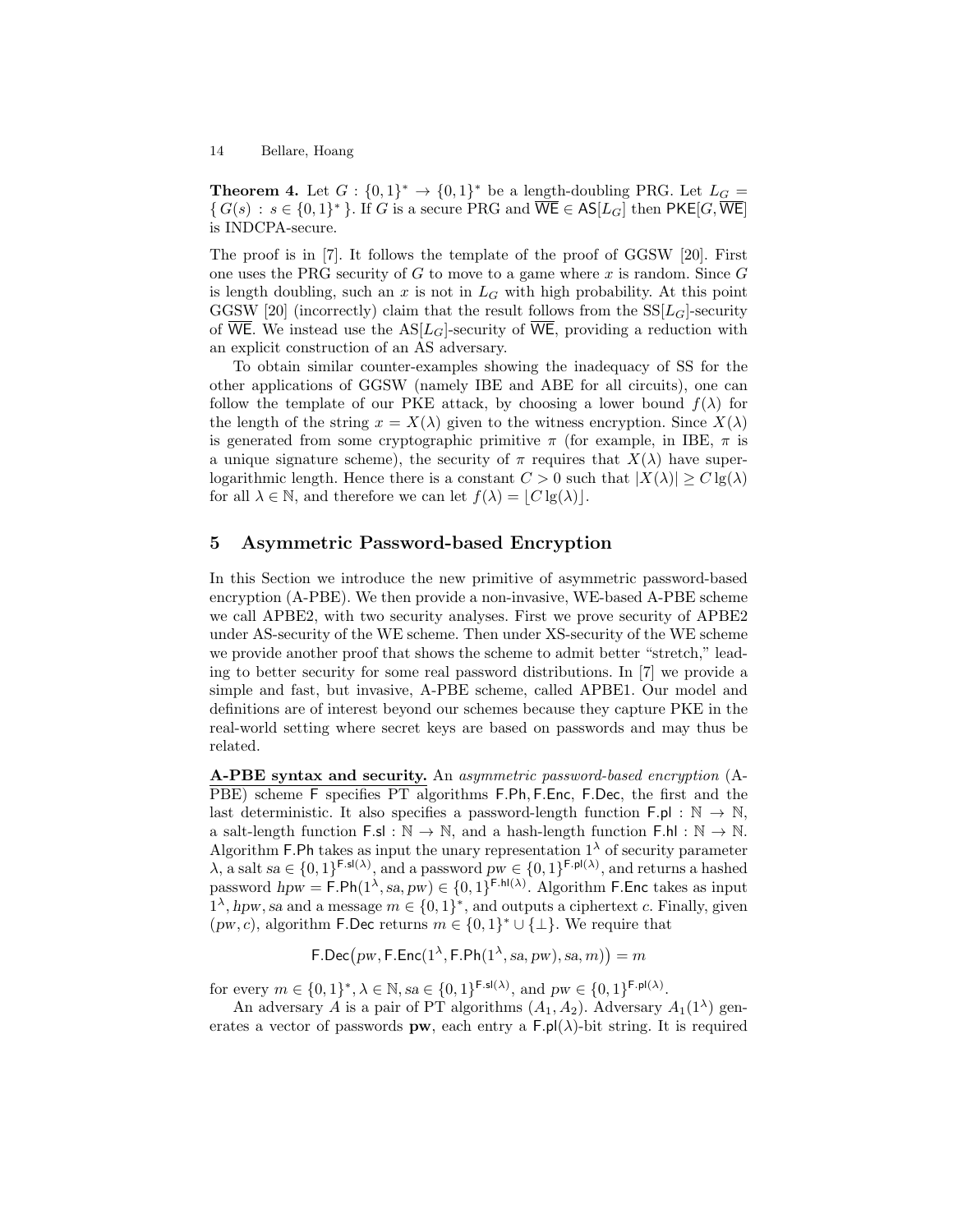**Theorem 4.** Let  $G: \{0,1\}^* \to \{0,1\}^*$  be a length-doubling PRG. Let  $L_G =$  ${G(s) : s \in \{0,1\}^*}$ . If G is a secure PRG and  $\overline{WE} \in AS[L_G]$  then  $PKE[G, \overline{WE}]$ is INDCPA-secure.

The proof is in [7]. It follows the template of the proof of GGSW [20]. First one uses the PRG security of G to move to a game where x is random. Since  $G$ is length doubling, such an x is not in  $L_G$  with high probability. At this point GGSW [20] (incorrectly) claim that the result follows from the  $SS[L_G]$ -security of WE. We instead use the AS[ $L_G$ ]-security of WE, providing a reduction with an explicit construction of an AS adversary.

To obtain similar counter-examples showing the inadequacy of SS for the other applications of GGSW (namely IBE and ABE for all circuits), one can follow the template of our PKE attack, by choosing a lower bound  $f(\lambda)$  for the length of the string  $x = X(\lambda)$  given to the witness encryption. Since  $X(\lambda)$ is generated from some cryptographic primitive  $\pi$  (for example, in IBE,  $\pi$  is a unique signature scheme), the security of  $\pi$  requires that  $X(\lambda)$  have superlogarithmic length. Hence there is a constant  $C > 0$  such that  $|X(\lambda)| \geq C \lg(\lambda)$ for all  $\lambda \in \mathbb{N}$ , and therefore we can let  $f(\lambda) = |C \lg(\lambda)|$ .

# 5 Asymmetric Password-based Encryption

In this Section we introduce the new primitive of asymmetric password-based encryption (A-PBE). We then provide a non-invasive, WE-based A-PBE scheme we call APBE2, with two security analyses. First we prove security of APBE2 under AS-security of the WE scheme. Then under XS-security of the WE scheme we provide another proof that shows the scheme to admit better "stretch," leading to better security for some real password distributions. In [7] we provide a simple and fast, but invasive, A-PBE scheme, called APBE1. Our model and definitions are of interest beyond our schemes because they capture PKE in the real-world setting where secret keys are based on passwords and may thus be related.

A-PBE syntax and security. An asymmetric password-based encryption (A-PBE) scheme F specifies PT algorithms F.Ph, F.Enc, F.Dec, the first and the last deterministic. It also specifies a password-length function  $F.pI : \mathbb{N} \to \mathbb{N}$ , a salt-length function F.sl :  $\mathbb{N} \to \mathbb{N}$ , and a hash-length function F.hl :  $\mathbb{N} \to \mathbb{N}$ . Algorithm F.Ph takes as input the unary representation  $1^{\lambda}$  of security parameter  $\lambda$ , a salt sa  $\in \{0,1\}^{\mathsf{F}.\mathsf{sl}(\lambda)}$ , and a password  $pw \in \{0,1\}^{\mathsf{F}.\mathsf{pl}(\lambda)}$ , and returns a hashed password  $hpw = F.Ph(1^{\lambda}, sa, pw) \in \{0, 1\}^{F.hI(\lambda)}$ . Algorithm F.Enc takes as input  $1^{\lambda}$ , hpw, sa and a message  $m \in \{0,1\}^*$ , and outputs a ciphertext c. Finally, given  $(pw, c)$ , algorithm **F**.Dec returns  $m \in \{0, 1\}^* \cup \{\perp\}$ . We require that

F.Dec( $pw$ , F.Enc( $1^{\lambda}$ , F.Ph( $1^{\lambda}$ , sa,  $pw$ ), sa,  $m$ )) = m

for every  $m \in \{0,1\}^*, \lambda \in \mathbb{N}$ ,  $sa \in \{0,1\}^{\mathsf{F}.\mathsf{sl}(\lambda)}$ , and  $pw \in \{0,1\}^{\mathsf{F}.\mathsf{pl}(\lambda)}$ .

An adversary A is a pair of PT algorithms  $(A_1, A_2)$ . Adversary  $A_1(1^{\lambda})$  generates a vector of passwords **pw**, each entry a  $F.pI(\lambda)$ -bit string. It is required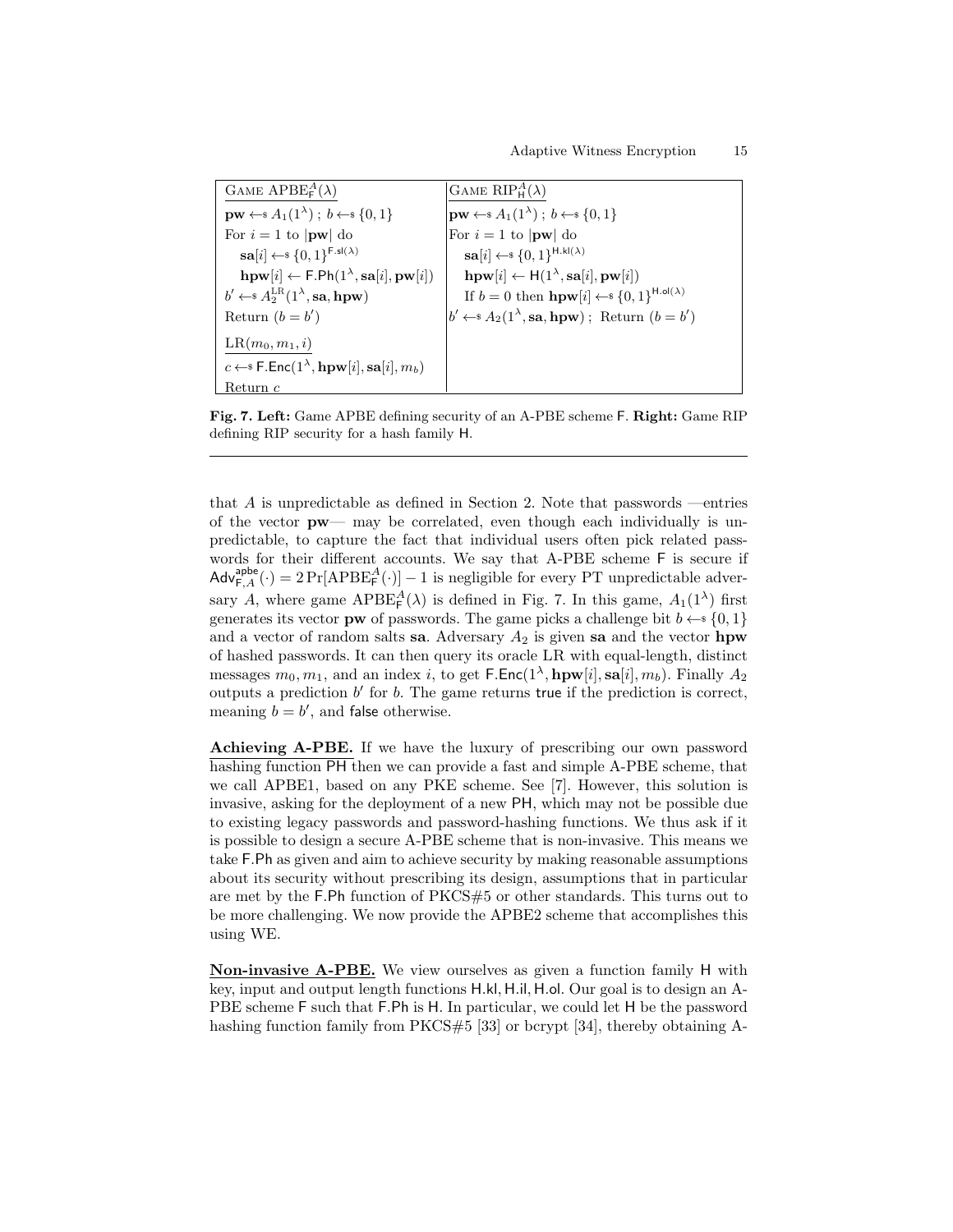| GAME APBE <sub>F</sub> $(\lambda)$                                                                                             | GAME RIP $_{\rm H}^{A}(\lambda)$                                                                          |
|--------------------------------------------------------------------------------------------------------------------------------|-----------------------------------------------------------------------------------------------------------|
| $\mathbf{pw} \leftarrow$ $A_1(1^{\lambda})$ ; $b \leftarrow$ {0, 1}                                                            | $\mathbf{pw} \leftarrow \mathcal{A}_1(1^{\lambda})$ ; $b \leftarrow \mathcal{A}_1(0,1)$                   |
| For $i = 1$ to $ \mathbf{pw} $ do                                                                                              | For $i=1$ to $ \mathbf{pw} $ do                                                                           |
| $\mathbf{sa}[i] \leftarrow \{0,1\}^{\mathsf{F}.\mathsf{sl}(\lambda)}$                                                          | $\mathbf{sa}[i] \leftarrow \{0,1\}^{\mathsf{H}.\mathsf{kl}(\lambda)}$                                     |
| $\mathbf{h} \mathbf{p} \mathbf{w}[i] \leftarrow \mathsf{F}.\mathsf{Ph}(1^{\lambda}, \mathbf{sa}[i], \mathbf{p} \mathbf{w}[i])$ | $\mathbf{h} \mathbf{p} \mathbf{w}[i] \leftarrow H(1^{\lambda}, \mathbf{sa}[i], \mathbf{p} \mathbf{w}[i])$ |
| $b' \leftarrow A_2^{\text{LR}}(1^{\lambda}, \text{sa}, \text{hpw})$                                                            | If $b = 0$ then $\mathbf{hpw}[i] \leftarrow \{0,1\}^{\mathsf{H}.\mathsf{ol}(\lambda)}$                    |
| Return $(b = b')$                                                                                                              | $ b' \leftarrow A_2(1^{\lambda}, \mathbf{sa}, \mathbf{hpw})$ ; Return $(b = b')$                          |
| $LR(m_0, m_1, i)$                                                                                                              |                                                                                                           |
| $c \leftarrow$ F.Enc(1 <sup><math>\lambda</math></sup> , hpw[i], sa[i], $m_b$ )                                                |                                                                                                           |
| Return c                                                                                                                       |                                                                                                           |

Fig. 7. Left: Game APBE defining security of an A-PBE scheme F. Right: Game RIP defining RIP security for a hash family H.

that A is unpredictable as defined in Section 2. Note that passwords —entries of the vector pw— may be correlated, even though each individually is unpredictable, to capture the fact that individual users often pick related passwords for their different accounts. We say that A-PBE scheme F is secure if  $\mathsf{Adv}_{\mathsf{F},A}^{\mathsf{apbe}}(\cdot) = 2 \Pr[\text{APBE}_{\mathsf{F}}^A(\cdot)] - 1$  is negligible for every PT unpredictable adversary A, where game  $APBE^A_{{\mathsf{F}}}(\lambda)$  is defined in Fig. 7. In this game,  $A_1(1^{\lambda})$  first generates its vector **pw** of passwords. The game picks a challenge bit  $b \leftarrow s \{0, 1\}$ and a vector of random salts sa. Adversary  $A_2$  is given sa and the vector hpw of hashed passwords. It can then query its oracle LR with equal-length, distinct messages  $m_0, m_1$ , and an index *i*, to get  $\mathsf{F}.\mathsf{Enc}(1^{\lambda}, \mathbf{hpw}[i], \mathbf{sa}[i], m_b)$ . Finally  $A_2$ outputs a prediction  $b'$  for  $b$ . The game returns true if the prediction is correct, meaning  $b = b'$ , and false otherwise.

Achieving A-PBE. If we have the luxury of prescribing our own password hashing function PH then we can provide a fast and simple A-PBE scheme, that we call APBE1, based on any PKE scheme. See [7]. However, this solution is invasive, asking for the deployment of a new PH, which may not be possible due to existing legacy passwords and password-hashing functions. We thus ask if it is possible to design a secure A-PBE scheme that is non-invasive. This means we take F.Ph as given and aim to achieve security by making reasonable assumptions about its security without prescribing its design, assumptions that in particular are met by the F.Ph function of PKCS#5 or other standards. This turns out to be more challenging. We now provide the APBE2 scheme that accomplishes this using WE.

Non-invasive A-PBE. We view ourselves as given a function family H with key, input and output length functions H.kl, H.il, H.ol. Our goal is to design an A-PBE scheme F such that F.Ph is H. In particular, we could let H be the password hashing function family from PKCS#5 [33] or bcrypt [34], thereby obtaining A-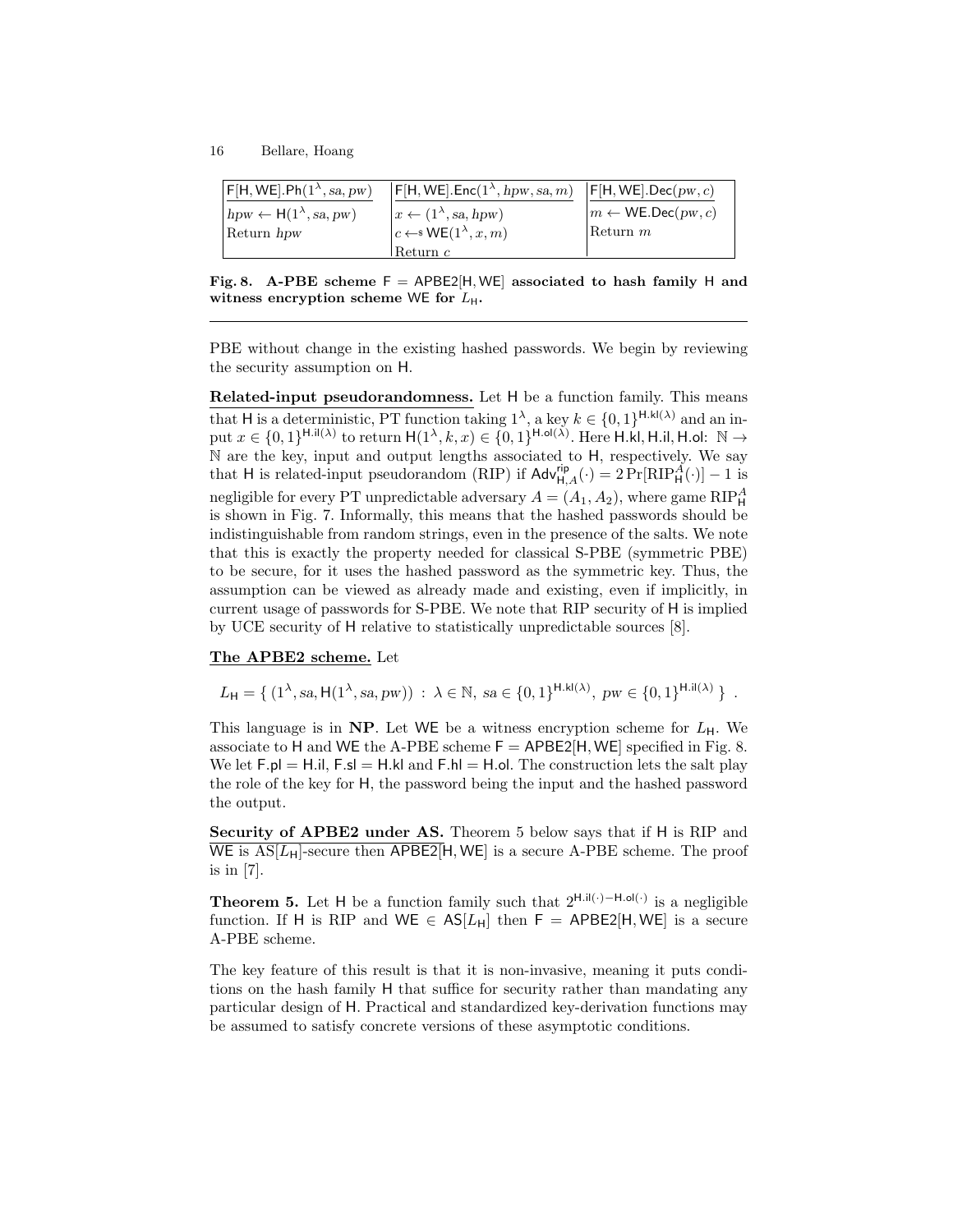| $\vert$ F[H, WE]. Ph( $1^{\lambda}$ , sa, pw) | $\vert$ F[H, WE]. Enc(1 <sup><math>\lambda</math></sup> , hpw, sa, m) $\vert$ F[H, WE]. Dec(pw, c) |                                      |
|-----------------------------------------------|----------------------------------------------------------------------------------------------------|--------------------------------------|
| $hpw \leftarrow H(1^{\lambda}, sa, pw)$       | $x \leftarrow (1^{\lambda}, sa, hpw)$                                                              | $ m \leftarrow \text{WE.Dec}(pw, c)$ |
| Return hpw                                    | $c \leftarrow^* \mathsf{WE}(1^\lambda, x, m)$                                                      | Return $m$                           |
|                                               | Return c                                                                                           |                                      |

Fig. 8. A-PBE scheme  $F = APBE2[H, WE]$  associated to hash family H and witness encryption scheme WE for  $L_H$ .

PBE without change in the existing hashed passwords. We begin by reviewing the security assumption on H.

Related-input pseudorandomness. Let H be a function family. This means that H is a deterministic, PT function taking  $1^{\lambda}$ , a key  $k \in \{0,1\}^{H.kl(\lambda)}$  and an input  $x \in \{0,1\}^{\mathsf{H}.\mathsf{il}(\lambda)}$  to return  $\mathsf{H}(1^{\lambda},k,x) \in \{0,1\}^{\mathsf{H}.\mathsf{ol}(\lambda)}$ . Here  $\mathsf{H}.\mathsf{kl},\mathsf{H}.\mathsf{il},\mathsf{H}.\mathsf{ol}: \mathbb{N} \to$ N are the key, input and output lengths associated to H, respectively. We say that H is related-input pseudorandom (RIP) if  $\text{Adv}_{H,A}^{rip}(\cdot) = 2 \Pr[\text{RIP}_{H}^{A}(\cdot)] - 1$  is negligible for every PT unpredictable adversary  $A = (A_1, A_2)$ , where game  $RIP_H^A$ is shown in Fig. 7. Informally, this means that the hashed passwords should be indistinguishable from random strings, even in the presence of the salts. We note that this is exactly the property needed for classical S-PBE (symmetric PBE) to be secure, for it uses the hashed password as the symmetric key. Thus, the assumption can be viewed as already made and existing, even if implicitly, in current usage of passwords for S-PBE. We note that RIP security of H is implied by UCE security of H relative to statistically unpredictable sources [8].

### The APBE2 scheme. Let

$$
L_{\mathsf{H}} = \{ (1^{\lambda}, sa, \mathsf{H}(1^{\lambda}, sa, pw)) : \lambda \in \mathbb{N}, \, sa \in \{0, 1\}^{\mathsf{H}.kl(\lambda)}, \, pw \in \{0, 1\}^{\mathsf{H}.l(\lambda)} \} .
$$

This language is in NP. Let WE be a witness encryption scheme for  $L_H$ . We associate to H and WE the A-PBE scheme  $F = APBE2[H, WE]$  specified in Fig. 8. We let  $F.pI = H.iI$ ,  $F.sI = H.kI$  and  $F.hI = H.oI$ . The construction lets the salt play the role of the key for H, the password being the input and the hashed password the output.

Security of APBE2 under AS. Theorem 5 below says that if H is RIP and WE is  $AS[L_H]$ -secure then APBE2[H, WE] is a secure A-PBE scheme. The proof is in [7].

**Theorem 5.** Let H be a function family such that  $2^{H.i(·)-H.o(·)}$  is a negligible function. If H is RIP and WE  $\in AS[L_H]$  then F = APBE2[H, WE] is a secure A-PBE scheme.

The key feature of this result is that it is non-invasive, meaning it puts conditions on the hash family H that suffice for security rather than mandating any particular design of H. Practical and standardized key-derivation functions may be assumed to satisfy concrete versions of these asymptotic conditions.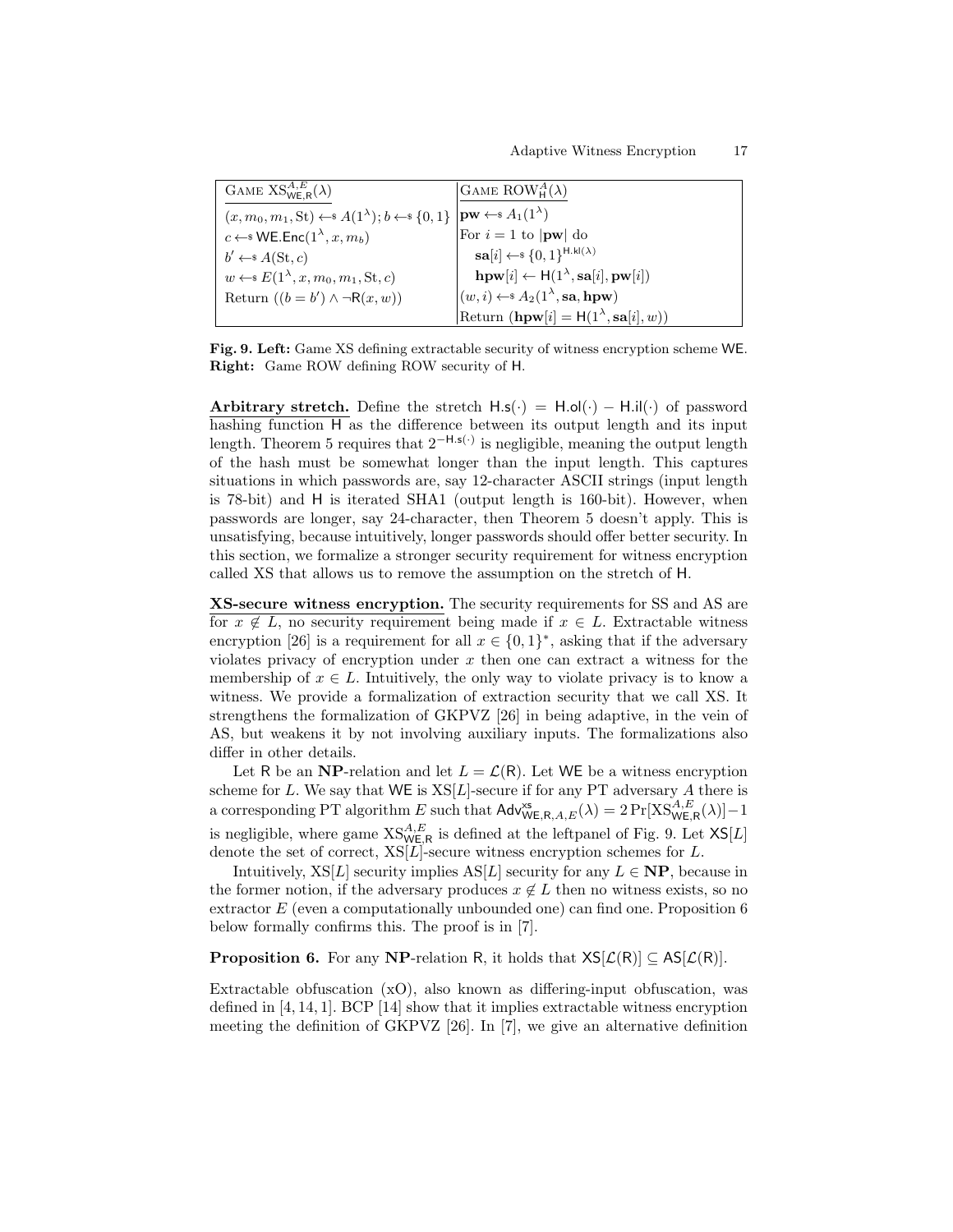| GAME $\text{XS}_{\text{WE-R}}^{A,E}(\lambda)$                                 | GAME ROW <sub>H</sub> $(\lambda)$                                                                         |
|-------------------------------------------------------------------------------|-----------------------------------------------------------------------------------------------------------|
| $(x, m_0, m_1, \text{St}) \leftarrow \{A(1^{\lambda}); b \leftarrow \{0, 1\}$ | $ \mathbf{pw} \leftarrow \mathsf{s} A_1(1^{\lambda})$                                                     |
| $c \leftarrow^* \mathsf{WE}.\mathsf{Enc}(1^\lambda, x, m_b)$                  | For $i = 1$ to $ \mathbf{pw} $ do                                                                         |
| $b' \leftarrow A(\text{St}, c)$                                               | $\mathbf{sa}[i] \leftarrow \{0,1\}^{\mathsf{H}.\mathsf{kl}(\lambda)}$                                     |
| $w \leftarrow$ $E(1^{\lambda}, x, m_0, m_1, \text{St}, c)$                    | $\mathbf{h} \mathbf{p} \mathbf{w}[i] \leftarrow H(1^{\lambda}, \mathbf{sa}[i], \mathbf{p} \mathbf{w}[i])$ |
| Return $((b = b') \wedge \neg R(x, w))$                                       | $(w, i) \leftarrow A_2(1^{\lambda}, \text{sa}, \text{hpw})$                                               |
|                                                                               | Return (hpw[i] = $H(1^{\lambda}, \mathbf{sa}[i], w)$ )                                                    |

Fig. 9. Left: Game XS defining extractable security of witness encryption scheme WE. Right: Game ROW defining ROW security of H.

Arbitrary stretch. Define the stretch  $H.s(\cdot) = H.o(\cdot) - H.I(\cdot)$  of password hashing function H as the difference between its output length and its input length. Theorem 5 requires that  $2^{-H.s(\cdot)}$  is negligible, meaning the output length of the hash must be somewhat longer than the input length. This captures situations in which passwords are, say 12-character ASCII strings (input length is 78-bit) and H is iterated SHA1 (output length is 160-bit). However, when passwords are longer, say 24-character, then Theorem 5 doesn't apply. This is unsatisfying, because intuitively, longer passwords should offer better security. In this section, we formalize a stronger security requirement for witness encryption called XS that allows us to remove the assumption on the stretch of H.

XS-secure witness encryption. The security requirements for SS and AS are for  $x \notin L$ , no security requirement being made if  $x \in L$ . Extractable witness encryption [26] is a requirement for all  $x \in \{0,1\}^*$ , asking that if the adversary violates privacy of encryption under  $x$  then one can extract a witness for the membership of  $x \in L$ . Intuitively, the only way to violate privacy is to know a witness. We provide a formalization of extraction security that we call XS. It strengthens the formalization of GKPVZ [26] in being adaptive, in the vein of AS, but weakens it by not involving auxiliary inputs. The formalizations also differ in other details.

Let R be an NP-relation and let  $L = \mathcal{L}(R)$ . Let WE be a witness encryption scheme for  $L$ . We say that WE is  $XS[L]$ -secure if for any PT adversary  $A$  there is a corresponding PT algorithm E such that  $\mathsf{Adv}^{\mathsf{xs}}_{\mathsf{WE},\mathsf{R},A,E}(\lambda) = 2 \Pr[\mathsf{XS}^{A,E}_{\mathsf{WE},\mathsf{R}}(\lambda)] - 1$ is negligible, where game  $XS_{\text{WE},\text{R}}^{A,E}$  is defined at the leftpanel of Fig. 9. Let  $\text{XS}[L]$ denote the set of correct,  $XS[L]$ -secure witness encryption schemes for L.

Intuitively,  $XS[L]$  security implies  $AS[L]$  security for any  $L \in \mathbf{NP}$ , because in the former notion, if the adversary produces  $x \notin L$  then no witness exists, so no extractor E (even a computationally unbounded one) can find one. Proposition 6 below formally confirms this. The proof is in [7].

**Proposition 6.** For any **NP**-relation R, it holds that  $XS[\mathcal{L}(R)] \subseteq AS[\mathcal{L}(R)]$ .

Extractable obfuscation (xO), also known as differing-input obfuscation, was defined in [4, 14, 1]. BCP [14] show that it implies extractable witness encryption meeting the definition of GKPVZ [26]. In [7], we give an alternative definition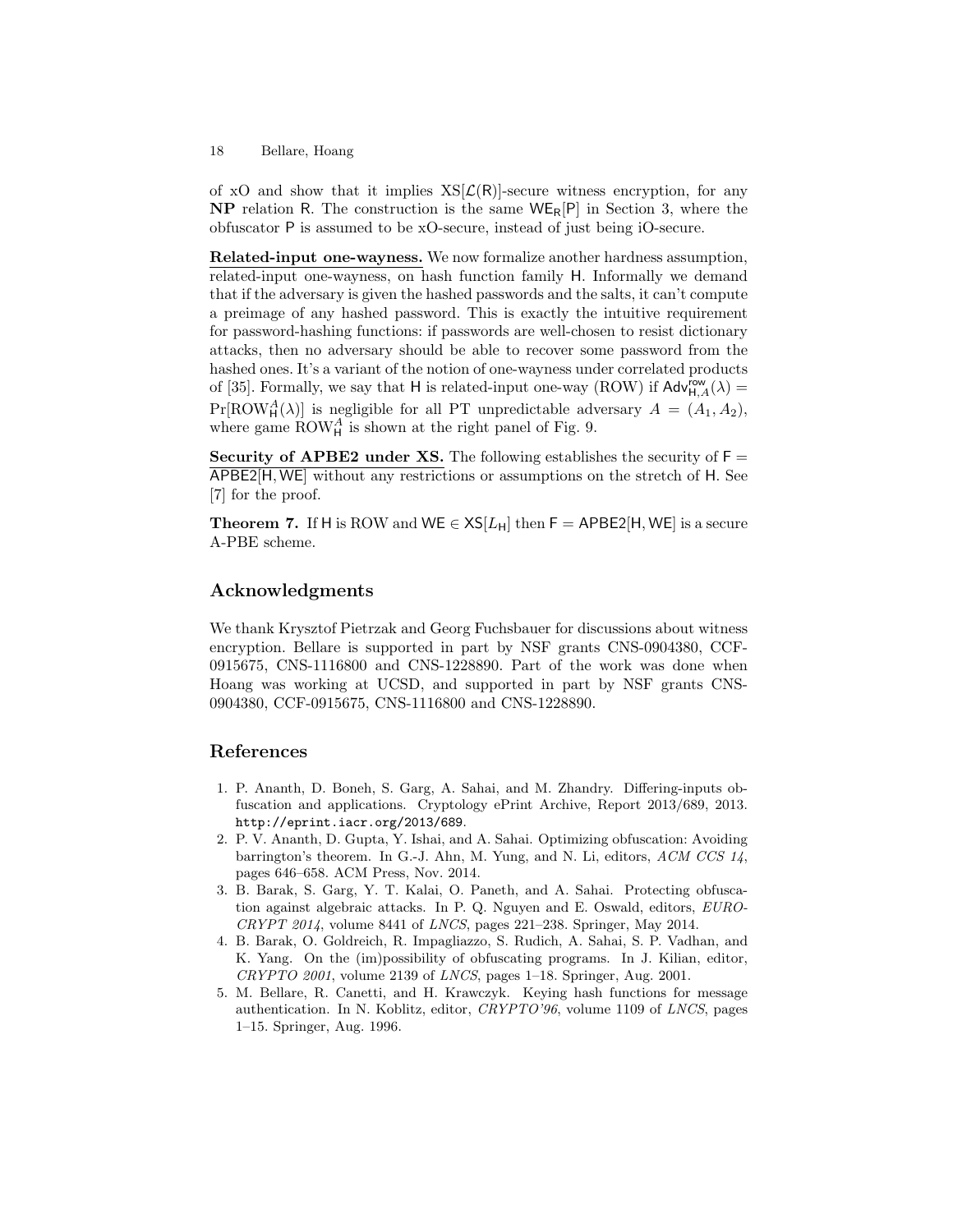of xO and show that it implies  $XS[\mathcal{L}(R)]$ -secure witness encryption, for any **NP** relation R. The construction is the same  $W \mathsf{E}_R[P]$  in Section 3, where the obfuscator P is assumed to be xO-secure, instead of just being iO-secure.

Related-input one-wayness. We now formalize another hardness assumption, related-input one-wayness, on hash function family H. Informally we demand that if the adversary is given the hashed passwords and the salts, it can't compute a preimage of any hashed password. This is exactly the intuitive requirement for password-hashing functions: if passwords are well-chosen to resist dictionary attacks, then no adversary should be able to recover some password from the hashed ones. It's a variant of the notion of one-wayness under correlated products of [35]. Formally, we say that H is related-input one-way (ROW) if  $\mathsf{Adv}_{H,A}^{\text{row}}(\lambda) =$  $Pr[ROW_{H}^{A}(\lambda)]$  is negligible for all PT unpredictable adversary  $A = (A_1, A_2)$ , where game  $\mathrm{ROW}_{\mathrm{H}}^{A}$  is shown at the right panel of Fig. 9.

Security of APBE2 under XS. The following establishes the security of  $F =$ APBE2[H, WE] without any restrictions or assumptions on the stretch of H. See [7] for the proof.

**Theorem 7.** If H is ROW and WE  $\in$  XS[ $L_H$ ] then F = APBE2[H, WE] is a secure A-PBE scheme.

# Acknowledgments

We thank Krysztof Pietrzak and Georg Fuchsbauer for discussions about witness encryption. Bellare is supported in part by NSF grants CNS-0904380, CCF-0915675, CNS-1116800 and CNS-1228890. Part of the work was done when Hoang was working at UCSD, and supported in part by NSF grants CNS-0904380, CCF-0915675, CNS-1116800 and CNS-1228890.

# References

- 1. P. Ananth, D. Boneh, S. Garg, A. Sahai, and M. Zhandry. Differing-inputs obfuscation and applications. Cryptology ePrint Archive, Report 2013/689, 2013. http://eprint.iacr.org/2013/689.
- 2. P. V. Ananth, D. Gupta, Y. Ishai, and A. Sahai. Optimizing obfuscation: Avoiding barrington's theorem. In G.-J. Ahn, M. Yung, and N. Li, editors, ACM CCS 14, pages 646–658. ACM Press, Nov. 2014.
- 3. B. Barak, S. Garg, Y. T. Kalai, O. Paneth, and A. Sahai. Protecting obfuscation against algebraic attacks. In P. Q. Nguyen and E. Oswald, editors, EURO- $CRYPT 2014$ , volume 8441 of *LNCS*, pages 221–238. Springer, May 2014.
- 4. B. Barak, O. Goldreich, R. Impagliazzo, S. Rudich, A. Sahai, S. P. Vadhan, and K. Yang. On the (im)possibility of obfuscating programs. In J. Kilian, editor,  $CRYPTO 2001$ , volume 2139 of  $LNCS$ , pages 1-18. Springer, Aug. 2001.
- 5. M. Bellare, R. Canetti, and H. Krawczyk. Keying hash functions for message authentication. In N. Koblitz, editor, CRYPTO'96, volume 1109 of LNCS, pages 1–15. Springer, Aug. 1996.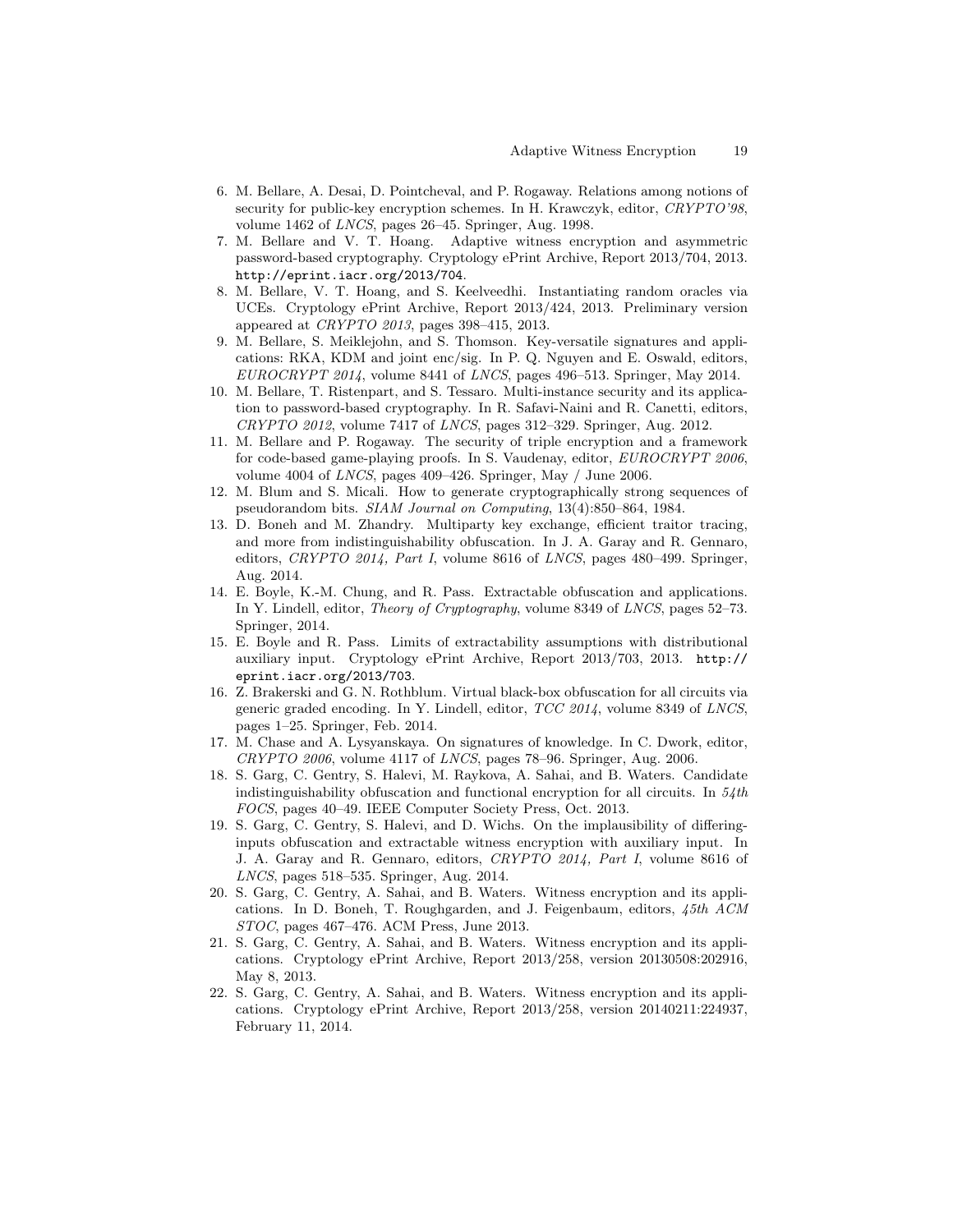- 6. M. Bellare, A. Desai, D. Pointcheval, and P. Rogaway. Relations among notions of security for public-key encryption schemes. In H. Krawczyk, editor, CRYPTO'98, volume 1462 of LNCS, pages 26–45. Springer, Aug. 1998.
- 7. M. Bellare and V. T. Hoang. Adaptive witness encryption and asymmetric password-based cryptography. Cryptology ePrint Archive, Report 2013/704, 2013. http://eprint.iacr.org/2013/704.
- 8. M. Bellare, V. T. Hoang, and S. Keelveedhi. Instantiating random oracles via UCEs. Cryptology ePrint Archive, Report 2013/424, 2013. Preliminary version appeared at CRYPTO 2013, pages 398–415, 2013.
- 9. M. Bellare, S. Meiklejohn, and S. Thomson. Key-versatile signatures and applications: RKA, KDM and joint enc/sig. In P. Q. Nguyen and E. Oswald, editors, EUROCRYPT 2014, volume 8441 of LNCS, pages 496–513. Springer, May 2014.
- 10. M. Bellare, T. Ristenpart, and S. Tessaro. Multi-instance security and its application to password-based cryptography. In R. Safavi-Naini and R. Canetti, editors,  $CRYPTO 2012$ , volume 7417 of  $LNCS$ , pages 312–329. Springer, Aug. 2012.
- 11. M. Bellare and P. Rogaway. The security of triple encryption and a framework for code-based game-playing proofs. In S. Vaudenay, editor, EUROCRYPT 2006, volume 4004 of LNCS, pages 409–426. Springer, May / June 2006.
- 12. M. Blum and S. Micali. How to generate cryptographically strong sequences of pseudorandom bits. SIAM Journal on Computing, 13(4):850–864, 1984.
- 13. D. Boneh and M. Zhandry. Multiparty key exchange, efficient traitor tracing, and more from indistinguishability obfuscation. In J. A. Garay and R. Gennaro, editors, CRYPTO 2014, Part I, volume 8616 of LNCS, pages 480–499. Springer, Aug. 2014.
- 14. E. Boyle, K.-M. Chung, and R. Pass. Extractable obfuscation and applications. In Y. Lindell, editor, Theory of Cryptography, volume 8349 of LNCS, pages 52–73. Springer, 2014.
- 15. E. Boyle and R. Pass. Limits of extractability assumptions with distributional auxiliary input. Cryptology ePrint Archive, Report 2013/703, 2013. http:// eprint.iacr.org/2013/703.
- 16. Z. Brakerski and G. N. Rothblum. Virtual black-box obfuscation for all circuits via generic graded encoding. In Y. Lindell, editor, TCC 2014, volume 8349 of LNCS, pages 1–25. Springer, Feb. 2014.
- 17. M. Chase and A. Lysyanskaya. On signatures of knowledge. In C. Dwork, editor,  $CRYPTO 2006$ , volume 4117 of *LNCS*, pages 78–96. Springer, Aug. 2006.
- 18. S. Garg, C. Gentry, S. Halevi, M. Raykova, A. Sahai, and B. Waters. Candidate indistinguishability obfuscation and functional encryption for all circuits. In  $54$ th FOCS, pages 40–49. IEEE Computer Society Press, Oct. 2013.
- 19. S. Garg, C. Gentry, S. Halevi, and D. Wichs. On the implausibility of differinginputs obfuscation and extractable witness encryption with auxiliary input. In J. A. Garay and R. Gennaro, editors, CRYPTO 2014, Part I, volume 8616 of LNCS, pages 518–535. Springer, Aug. 2014.
- 20. S. Garg, C. Gentry, A. Sahai, and B. Waters. Witness encryption and its applications. In D. Boneh, T. Roughgarden, and J. Feigenbaum, editors, 45th ACM STOC, pages 467–476. ACM Press, June 2013.
- 21. S. Garg, C. Gentry, A. Sahai, and B. Waters. Witness encryption and its applications. Cryptology ePrint Archive, Report 2013/258, version 20130508:202916, May 8, 2013.
- 22. S. Garg, C. Gentry, A. Sahai, and B. Waters. Witness encryption and its applications. Cryptology ePrint Archive, Report 2013/258, version 20140211:224937, February 11, 2014.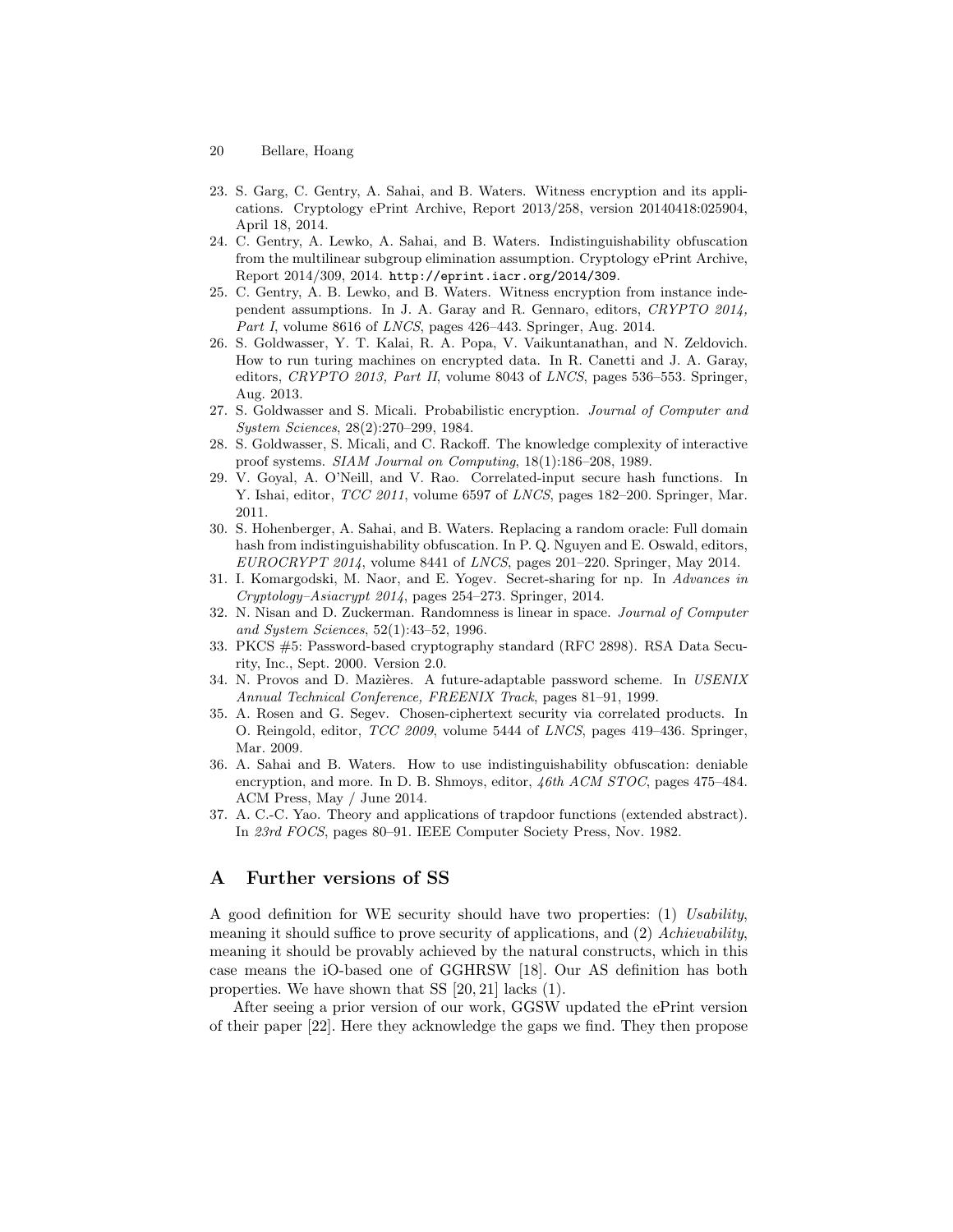- 20 Bellare, Hoang
- 23. S. Garg, C. Gentry, A. Sahai, and B. Waters. Witness encryption and its applications. Cryptology ePrint Archive, Report 2013/258, version 20140418:025904, April 18, 2014.
- 24. C. Gentry, A. Lewko, A. Sahai, and B. Waters. Indistinguishability obfuscation from the multilinear subgroup elimination assumption. Cryptology ePrint Archive, Report 2014/309, 2014. http://eprint.iacr.org/2014/309.
- 25. C. Gentry, A. B. Lewko, and B. Waters. Witness encryption from instance independent assumptions. In J. A. Garay and R. Gennaro, editors, CRYPTO 2014, Part I, volume 8616 of LNCS, pages 426-443. Springer, Aug. 2014.
- 26. S. Goldwasser, Y. T. Kalai, R. A. Popa, V. Vaikuntanathan, and N. Zeldovich. How to run turing machines on encrypted data. In R. Canetti and J. A. Garay, editors, CRYPTO 2013, Part II, volume 8043 of LNCS, pages 536–553. Springer, Aug. 2013.
- 27. S. Goldwasser and S. Micali. Probabilistic encryption. Journal of Computer and System Sciences, 28(2):270–299, 1984.
- 28. S. Goldwasser, S. Micali, and C. Rackoff. The knowledge complexity of interactive proof systems. SIAM Journal on Computing, 18(1):186–208, 1989.
- 29. V. Goyal, A. O'Neill, and V. Rao. Correlated-input secure hash functions. In Y. Ishai, editor, TCC 2011, volume 6597 of LNCS, pages 182–200. Springer, Mar. 2011.
- 30. S. Hohenberger, A. Sahai, and B. Waters. Replacing a random oracle: Full domain hash from indistinguishability obfuscation. In P. Q. Nguyen and E. Oswald, editors,  $EUROCRYPT 2014$ , volume 8441 of LNCS, pages 201–220. Springer, May 2014.
- 31. I. Komargodski, M. Naor, and E. Yogev. Secret-sharing for np. In Advances in  $Cryptology-Asiacrypt 2014$ , pages 254–273. Springer, 2014.
- 32. N. Nisan and D. Zuckerman. Randomness is linear in space. Journal of Computer and System Sciences, 52(1):43–52, 1996.
- 33. PKCS #5: Password-based cryptography standard (RFC 2898). RSA Data Security, Inc., Sept. 2000. Version 2.0.
- 34. N. Provos and D. Mazières. A future-adaptable password scheme. In USENIX Annual Technical Conference, FREENIX Track, pages 81–91, 1999.
- 35. A. Rosen and G. Segev. Chosen-ciphertext security via correlated products. In O. Reingold, editor, TCC 2009, volume 5444 of LNCS, pages 419–436. Springer, Mar. 2009.
- 36. A. Sahai and B. Waters. How to use indistinguishability obfuscation: deniable encryption, and more. In D. B. Shmoys, editor,  $46th$  ACM STOC, pages 475–484. ACM Press, May / June 2014.
- 37. A. C.-C. Yao. Theory and applications of trapdoor functions (extended abstract). In 23rd FOCS, pages 80–91. IEEE Computer Society Press, Nov. 1982.

## A Further versions of SS

A good definition for WE security should have two properties: (1) Usability, meaning it should suffice to prove security of applications, and (2) Achievability, meaning it should be provably achieved by the natural constructs, which in this case means the iO-based one of GGHRSW [18]. Our AS definition has both properties. We have shown that SS [20, 21] lacks (1).

After seeing a prior version of our work, GGSW updated the ePrint version of their paper [22]. Here they acknowledge the gaps we find. They then propose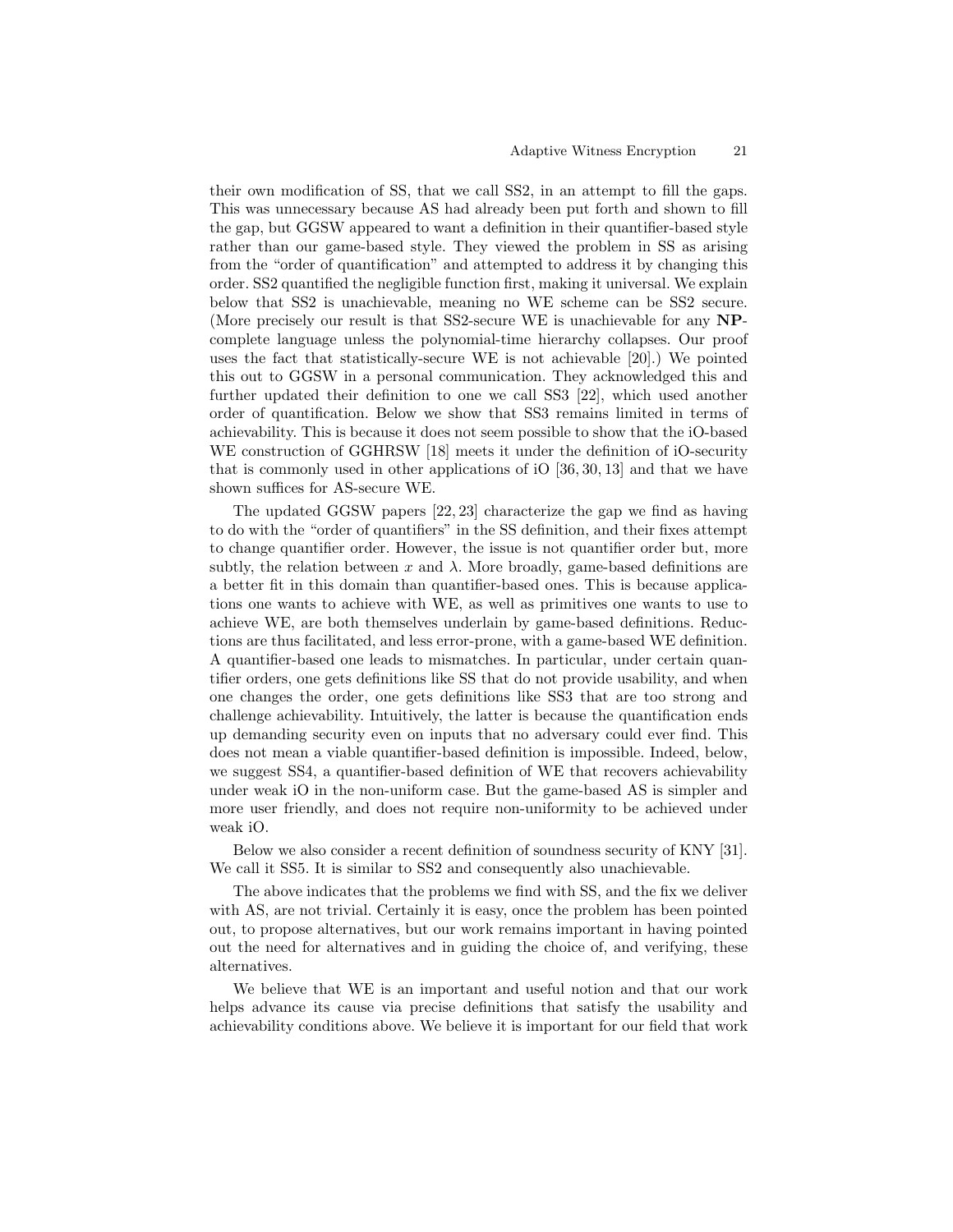their own modification of SS, that we call SS2, in an attempt to fill the gaps. This was unnecessary because AS had already been put forth and shown to fill the gap, but GGSW appeared to want a definition in their quantifier-based style rather than our game-based style. They viewed the problem in SS as arising from the "order of quantification" and attempted to address it by changing this order. SS2 quantified the negligible function first, making it universal. We explain below that SS2 is unachievable, meaning no WE scheme can be SS2 secure. (More precisely our result is that SS2-secure WE is unachievable for any NPcomplete language unless the polynomial-time hierarchy collapses. Our proof uses the fact that statistically-secure WE is not achievable [20].) We pointed this out to GGSW in a personal communication. They acknowledged this and further updated their definition to one we call SS3 [22], which used another order of quantification. Below we show that SS3 remains limited in terms of achievability. This is because it does not seem possible to show that the iO-based WE construction of GGHRSW [18] meets it under the definition of iO-security that is commonly used in other applications of iO [36, 30, 13] and that we have shown suffices for AS-secure WE.

The updated GGSW papers [22, 23] characterize the gap we find as having to do with the "order of quantifiers" in the SS definition, and their fixes attempt to change quantifier order. However, the issue is not quantifier order but, more subtly, the relation between x and  $\lambda$ . More broadly, game-based definitions are a better fit in this domain than quantifier-based ones. This is because applications one wants to achieve with WE, as well as primitives one wants to use to achieve WE, are both themselves underlain by game-based definitions. Reductions are thus facilitated, and less error-prone, with a game-based WE definition. A quantifier-based one leads to mismatches. In particular, under certain quantifier orders, one gets definitions like SS that do not provide usability, and when one changes the order, one gets definitions like SS3 that are too strong and challenge achievability. Intuitively, the latter is because the quantification ends up demanding security even on inputs that no adversary could ever find. This does not mean a viable quantifier-based definition is impossible. Indeed, below, we suggest SS4, a quantifier-based definition of WE that recovers achievability under weak iO in the non-uniform case. But the game-based AS is simpler and more user friendly, and does not require non-uniformity to be achieved under weak iO.

Below we also consider a recent definition of soundness security of KNY [31]. We call it SS5. It is similar to SS2 and consequently also unachievable.

The above indicates that the problems we find with SS, and the fix we deliver with AS, are not trivial. Certainly it is easy, once the problem has been pointed out, to propose alternatives, but our work remains important in having pointed out the need for alternatives and in guiding the choice of, and verifying, these alternatives.

We believe that WE is an important and useful notion and that our work helps advance its cause via precise definitions that satisfy the usability and achievability conditions above. We believe it is important for our field that work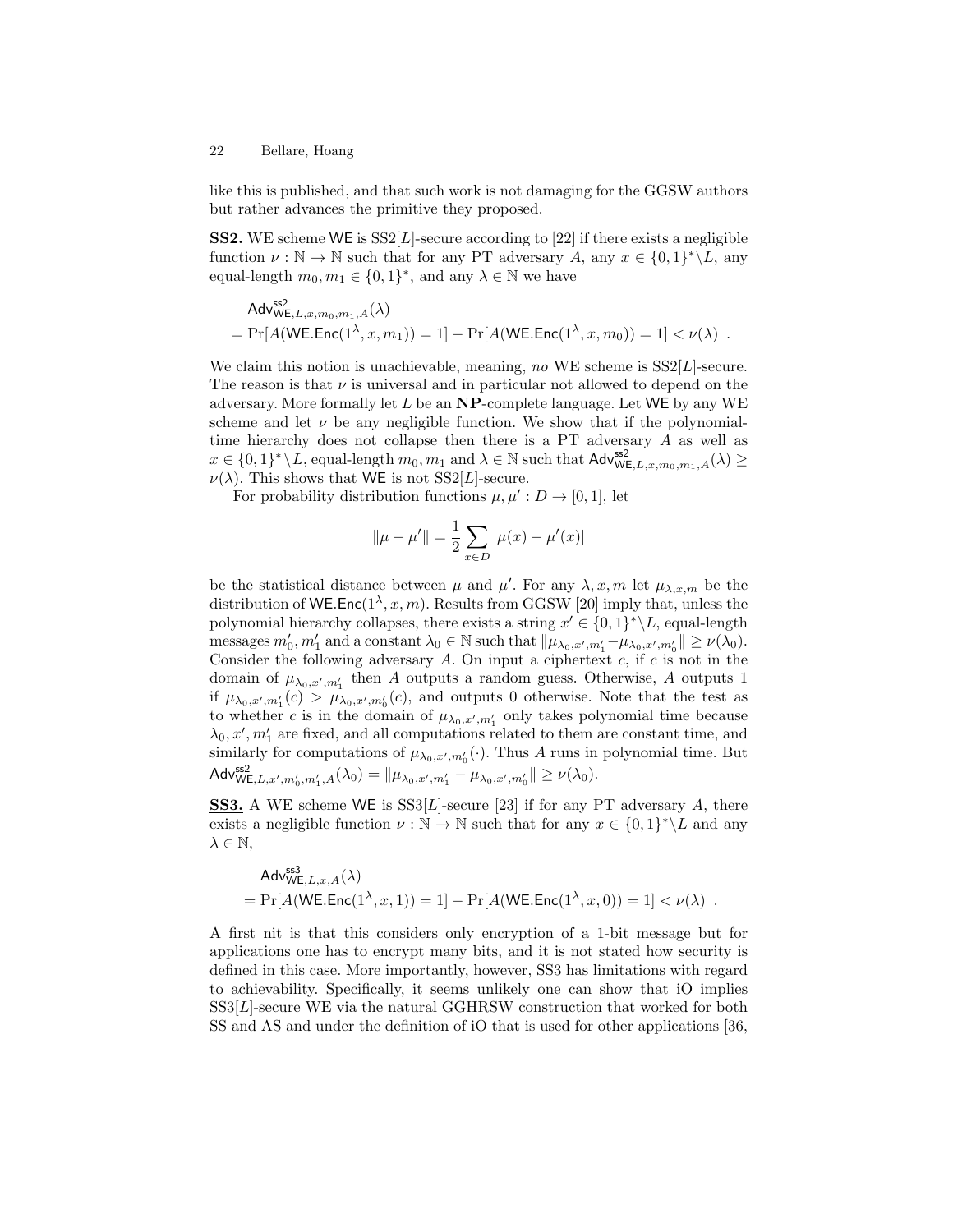like this is published, and that such work is not damaging for the GGSW authors but rather advances the primitive they proposed.

**SS2.** WE scheme WE is  $SS2[L]$ -secure according to [22] if there exists a negligible function  $\nu : \mathbb{N} \to \mathbb{N}$  such that for any PT adversary A, any  $x \in \{0,1\}^* \backslash L$ , any equal-length  $m_0, m_1 \in \{0, 1\}^*$ , and any  $\lambda \in \mathbb{N}$  we have

$$
Adv_{\mathsf{WE},L,x,m_0,m_1,A}^{\mathsf{ss2}}(\lambda)
$$
  
=  $\Pr[A(\mathsf{WE}.Enc(1^{\lambda},x,m_1)) = 1] - \Pr[A(\mathsf{WE}.Enc(1^{\lambda},x,m_0)) = 1] < \nu(\lambda)$ .

We claim this notion is unachievable, meaning, no WE scheme is  $SS2[L]$ -secure. The reason is that  $\nu$  is universal and in particular not allowed to depend on the adversary. More formally let  $L$  be an  $NP$ -complete language. Let WE by any WE scheme and let  $\nu$  be any negligible function. We show that if the polynomialtime hierarchy does not collapse then there is a PT adversary A as well as  $x \in \{0,1\}^* \setminus L$ , equal-length  $m_0, m_1$  and  $\lambda \in \mathbb{N}$  such that  $\mathsf{Adv}_{\mathsf{WE},L,x,m_0,m_1,A}^{\mathsf{ss2}}(\lambda) \geq$  $\nu(\lambda)$ . This shows that WE is not SS2[L]-secure.

For probability distribution functions  $\mu, \mu': D \to [0, 1]$ , let

$$
\|\mu - \mu'\| = \frac{1}{2} \sum_{x \in D} |\mu(x) - \mu'(x)|
$$

be the statistical distance between  $\mu$  and  $\mu'$ . For any  $\lambda, x, m$  let  $\mu_{\lambda,x,m}$  be the distribution of WE.Enc( $1^{\lambda}, x, m$ ). Results from GGSW [20] imply that, unless the polynomial hierarchy collapses, there exists a string  $x' \in \{0,1\}^* \backslash L$ , equal-length messages  $m'_0, m'_1$  and a constant  $\lambda_0 \in \mathbb{N}$  such that  $\|\mu_{\lambda_0, x', m'_1} - \mu_{\lambda_0, x', m'_0}\| \ge \nu(\lambda_0)$ . Consider the following adversary  $A$ . On input a ciphertext  $c$ , if  $c$  is not in the domain of  $\mu_{\lambda_0,x',m_1'}$  then A outputs a random guess. Otherwise, A outputs 1 if  $\mu_{\lambda_0,x',m_1'}(c) > \mu_{\lambda_0,x',m_0'}(c)$ , and outputs 0 otherwise. Note that the test as to whether c is in the domain of  $\mu_{\lambda_0,x',m_1'}$  only takes polynomial time because  $\lambda_0, x', m'_1$  are fixed, and all computations related to them are constant time, and similarly for computations of  $\mu_{\lambda_0,x',m_0'}(\cdot)$ . Thus A runs in polynomial time. But  $\mathsf{Adv}^{\mathsf{ss2}}_{\mathsf{WE},L,x',m_0',m_1',A}(\lambda_0) = \|\mu_{\lambda_0,x',m_1'} - \mu_{\lambda_0,x',m_0'}\| \geq \nu(\lambda_0).$ 

**SS3.** A WE scheme WE is  $SS3[L]$ -secure [23] if for any PT adversary A, there exists a negligible function  $\nu : \mathbb{N} \to \mathbb{N}$  such that for any  $x \in \{0,1\}^* \backslash L$  and any  $\lambda \in \mathbb{N},$ 

$$
Adv_{\mathsf{WE},L,x,A}^{\mathsf{ss3}}(\lambda)
$$
  
= Pr[A(WE.Enc(1<sup>λ</sup>, x, 1)) = 1] – Pr[A(WE.Enc(1<sup>λ</sup>, x, 0)) = 1] <  $\nu(\lambda)$ .

A first nit is that this considers only encryption of a 1-bit message but for applications one has to encrypt many bits, and it is not stated how security is defined in this case. More importantly, however, SS3 has limitations with regard to achievability. Specifically, it seems unlikely one can show that iO implies  $SS3[L]$ -secure WE via the natural GGHRSW construction that worked for both SS and AS and under the definition of iO that is used for other applications [36,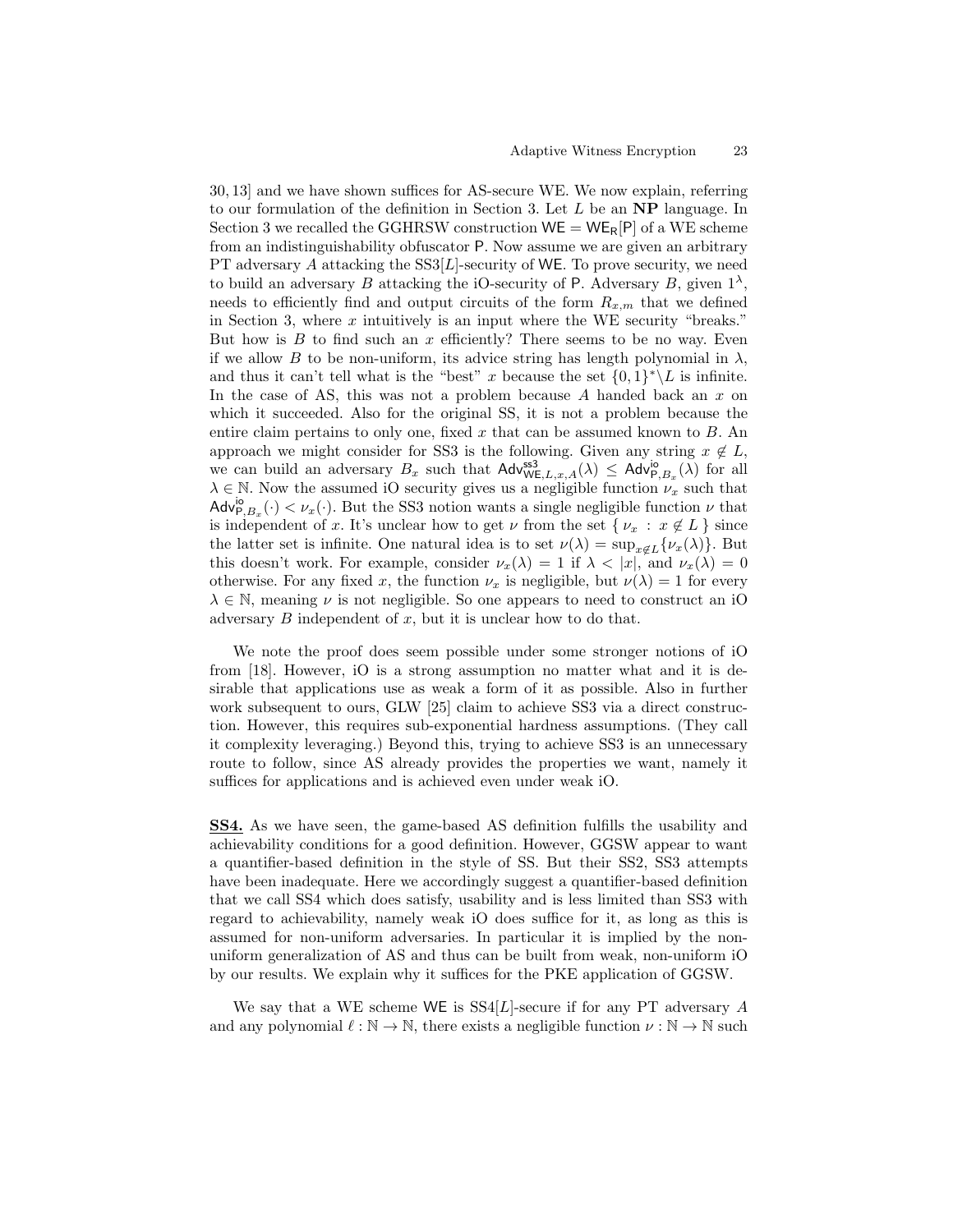30, 13] and we have shown suffices for AS-secure WE. We now explain, referring to our formulation of the definition in Section 3. Let L be an NP language. In Section 3 we recalled the GGHRSW construction  $WE = WE_R[P]$  of a WE scheme from an indistinguishability obfuscator P. Now assume we are given an arbitrary PT adversary  $A$  attacking the  $SS3[L]$ -security of WE. To prove security, we need to build an adversary B attacking the iO-security of P. Adversary B, given  $1^{\lambda}$ , needs to efficiently find and output circuits of the form  $R_{x,m}$  that we defined in Section 3, where  $x$  intuitively is an input where the WE security "breaks." But how is  $B$  to find such an  $x$  efficiently? There seems to be no way. Even if we allow B to be non-uniform, its advice string has length polynomial in  $\lambda$ , and thus it can't tell what is the "best" x because the set  $\{0,1\}^* \backslash L$  is infinite. In the case of AS, this was not a problem because A handed back an  $x$  on which it succeeded. Also for the original SS, it is not a problem because the entire claim pertains to only one, fixed  $x$  that can be assumed known to  $B$ . An approach we might consider for SS3 is the following. Given any string  $x \notin L$ , we can build an adversary  $B_x$  such that  $\mathsf{Adv}_{\mathsf{WE},L,x,A}^{\mathsf{ss3}}(\lambda) \leq \mathsf{Adv}_{\mathsf{P},B_x}^{\mathsf{io}}(\lambda)$  for all  $\lambda \in \mathbb{N}$ . Now the assumed iO security gives us a negligible function  $\nu_x$  such that  $\mathsf{Adv}_{\mathsf{P},B_x}^{\mathsf{io}}(\cdot) < \nu_x(\cdot)$ . But the SS3 notion wants a single negligible function  $\nu$  that is independent of x. It's unclear how to get  $\nu$  from the set  $\{ \nu_x : x \notin L \}$  since the latter set is infinite. One natural idea is to set  $\nu(\lambda) = \sup_{x \notin L} {\{\nu_x(\lambda)\}}$ . But this doesn't work. For example, consider  $\nu_x(\lambda) = 1$  if  $\lambda < |x|$ , and  $\nu_x(\lambda) = 0$ otherwise. For any fixed x, the function  $\nu_x$  is negligible, but  $\nu(\lambda) = 1$  for every  $\lambda \in \mathbb{N}$ , meaning  $\nu$  is not negligible. So one appears to need to construct an iO adversary  $B$  independent of  $x$ , but it is unclear how to do that.

We note the proof does seem possible under some stronger notions of iO from [18]. However, iO is a strong assumption no matter what and it is desirable that applications use as weak a form of it as possible. Also in further work subsequent to ours, GLW [25] claim to achieve SS3 via a direct construction. However, this requires sub-exponential hardness assumptions. (They call it complexity leveraging.) Beyond this, trying to achieve SS3 is an unnecessary route to follow, since AS already provides the properties we want, namely it suffices for applications and is achieved even under weak iO.

SS4. As we have seen, the game-based AS definition fulfills the usability and achievability conditions for a good definition. However, GGSW appear to want a quantifier-based definition in the style of SS. But their SS2, SS3 attempts have been inadequate. Here we accordingly suggest a quantifier-based definition that we call SS4 which does satisfy, usability and is less limited than SS3 with regard to achievability, namely weak iO does suffice for it, as long as this is assumed for non-uniform adversaries. In particular it is implied by the nonuniform generalization of AS and thus can be built from weak, non-uniform iO by our results. We explain why it suffices for the PKE application of GGSW.

We say that a WE scheme WE is  $SS4[L]$ -secure if for any PT adversary A and any polynomial  $\ell : \mathbb{N} \to \mathbb{N}$ , there exists a negligible function  $\nu : \mathbb{N} \to \mathbb{N}$  such